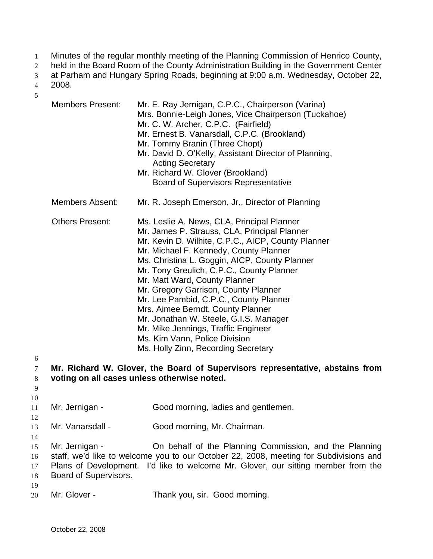- Minutes of the regular monthly meeting of the Planning Commission of Henrico County, 1
- held in the Board Room of the County Administration Building in the Government Center 2
- at Parham and Hungary Spring Roads, beginning at 9:00 a.m. Wednesday, October 22, 3

2008. 4

| 5                          |                                         |                                                                                                                                                                                                                                                                                                                                                                                                                                                                                                                                                                                                           |
|----------------------------|-----------------------------------------|-----------------------------------------------------------------------------------------------------------------------------------------------------------------------------------------------------------------------------------------------------------------------------------------------------------------------------------------------------------------------------------------------------------------------------------------------------------------------------------------------------------------------------------------------------------------------------------------------------------|
|                            | <b>Members Present:</b>                 | Mr. E. Ray Jernigan, C.P.C., Chairperson (Varina)<br>Mrs. Bonnie-Leigh Jones, Vice Chairperson (Tuckahoe)<br>Mr. C. W. Archer, C.P.C. (Fairfield)<br>Mr. Ernest B. Vanarsdall, C.P.C. (Brookland)<br>Mr. Tommy Branin (Three Chopt)<br>Mr. David D. O'Kelly, Assistant Director of Planning,<br><b>Acting Secretary</b><br>Mr. Richard W. Glover (Brookland)<br><b>Board of Supervisors Representative</b>                                                                                                                                                                                                |
|                            | <b>Members Absent:</b>                  | Mr. R. Joseph Emerson, Jr., Director of Planning                                                                                                                                                                                                                                                                                                                                                                                                                                                                                                                                                          |
| 6                          | <b>Others Present:</b>                  | Ms. Leslie A. News, CLA, Principal Planner<br>Mr. James P. Strauss, CLA, Principal Planner<br>Mr. Kevin D. Wilhite, C.P.C., AICP, County Planner<br>Mr. Michael F. Kennedy, County Planner<br>Ms. Christina L. Goggin, AICP, County Planner<br>Mr. Tony Greulich, C.P.C., County Planner<br>Mr. Matt Ward, County Planner<br>Mr. Gregory Garrison, County Planner<br>Mr. Lee Pambid, C.P.C., County Planner<br>Mrs. Aimee Berndt, County Planner<br>Mr. Jonathan W. Steele, G.I.S. Manager<br>Mr. Mike Jennings, Traffic Engineer<br>Ms. Kim Vann, Police Division<br>Ms. Holly Zinn, Recording Secretary |
| 7<br>8<br>9                |                                         | Mr. Richard W. Glover, the Board of Supervisors representative, abstains from<br>voting on all cases unless otherwise noted.                                                                                                                                                                                                                                                                                                                                                                                                                                                                              |
| 10<br>11                   | Mr. Jernigan -                          | Good morning, ladies and gentlemen.                                                                                                                                                                                                                                                                                                                                                                                                                                                                                                                                                                       |
| 12<br>13                   | Mr. Vanarsdall -                        | Good morning, Mr. Chairman.                                                                                                                                                                                                                                                                                                                                                                                                                                                                                                                                                                               |
| 14<br>15<br>16<br>17<br>18 | Mr. Jernigan -<br>Board of Supervisors. | On behalf of the Planning Commission, and the Planning<br>staff, we'd like to welcome you to our October 22, 2008, meeting for Subdivisions and<br>Plans of Development. I'd like to welcome Mr. Glover, our sitting member from the                                                                                                                                                                                                                                                                                                                                                                      |
| 19<br>20                   | Mr. Glover -                            | Thank you, sir. Good morning.                                                                                                                                                                                                                                                                                                                                                                                                                                                                                                                                                                             |
|                            |                                         |                                                                                                                                                                                                                                                                                                                                                                                                                                                                                                                                                                                                           |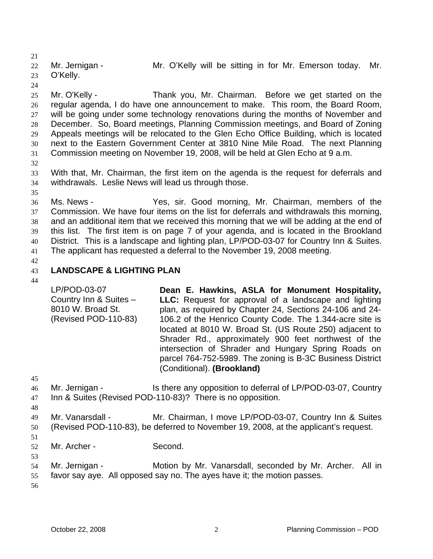21 22 23 Mr. Jernigan - The Mr. O'Kelly will be sitting in for Mr. Emerson today. Mr. O'Kelly.

24

25 26 27 28 29 30 31 Mr. O'Kelly - Thank you, Mr. Chairman. Before we get started on the regular agenda, I do have one announcement to make. This room, the Board Room, will be going under some technology renovations during the months of November and December. So, Board meetings, Planning Commission meetings, and Board of Zoning Appeals meetings will be relocated to the Glen Echo Office Building, which is located next to the Eastern Government Center at 3810 Nine Mile Road. The next Planning Commission meeting on November 19, 2008, will be held at Glen Echo at 9 a.m.

32

33 34 With that, Mr. Chairman, the first item on the agenda is the request for deferrals and withdrawals. Leslie News will lead us through those.

35

36 37 38 39 40 41 Ms. News - Yes, sir. Good morning, Mr. Chairman, members of the Commission. We have four items on the list for deferrals and withdrawals this morning, and an additional item that we received this morning that we will be adding at the end of this list. The first item is on page 7 of your agenda, and is located in the Brookland District. This is a landscape and lighting plan, LP/POD-03-07 for Country Inn & Suites. The applicant has requested a deferral to the November 19, 2008 meeting.

42

### 43 **LANDSCAPE & LIGHTING PLAN**

44

LP/POD-03-07 Country Inn & Suites – 8010 W. Broad St. (Revised POD-110-83) **Dean E. Hawkins, ASLA for Monument Hospitality, LLC:** Request for approval of a landscape and lighting plan, as required by Chapter 24, Sections 24-106 and 24- 106.2 of the Henrico County Code. The 1.344-acre site is located at 8010 W. Broad St. (US Route 250) adjacent to Shrader Rd., approximately 900 feet northwest of the intersection of Shrader and Hungary Spring Roads on parcel 764-752-5989. The zoning is B-3C Business District (Conditional). **(Brookland)** 

45

- 46 47 Mr. Jernigan - Is there any opposition to deferral of LP/POD-03-07, Country Inn & Suites (Revised POD-110-83)? There is no opposition.
- 48
- 49 50 Mr. Vanarsdall - Mr. Chairman, I move LP/POD-03-07, Country Inn & Suites (Revised POD-110-83), be deferred to November 19, 2008, at the applicant's request.
- 51

- 52 Mr. Archer - Second.
- 54 55 Mr. Jernigan - **Motion by Mr. Vanarsdall, seconded by Mr. Archer.** All in favor say aye. All opposed say no. The ayes have it; the motion passes.
- 56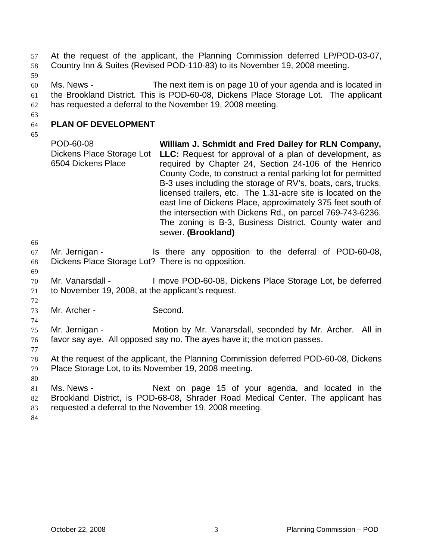At the request of the applicant, the Planning Commission deferred LP/POD-03-07, Country Inn & Suites (Revised POD-110-83) to its November 19, 2008 meeting. 57 58

59

60 61 62 Ms. News - The next item is on page 10 of your agenda and is located in the Brookland District. This is POD-60-08, Dickens Place Storage Lot. The applicant has requested a deferral to the November 19, 2008 meeting.

63

64 **PLAN OF DEVELOPMENT** 

65

66

69

72

74

POD-60-08 Dickens Place Storage Lot 6504 Dickens Place **William J. Schmidt and Fred Dailey for RLN Company, LLC:** Request for approval of a plan of development, as required by Chapter 24, Section 24-106 of the Henrico County Code, to construct a rental parking lot for permitted B-3 uses including the storage of RV's, boats, cars, trucks, licensed trailers, etc. The 1.31-acre site is located on the east line of Dickens Place, approximately 375 feet south of the intersection with Dickens Rd., on parcel 769-743-6236. The zoning is B-3, Business District. County water and sewer. **(Brookland)** 

67 68 Mr. Jernigan - Is there any opposition to the deferral of POD-60-08, Dickens Place Storage Lot? There is no opposition.

- 70 71 Mr. Vanarsdall - I move POD-60-08, Dickens Place Storage Lot, be deferred to November 19, 2008, at the applicant's request.
- 73 Mr. Archer - Second.

75 76 Mr. Jernigan - **Motion by Mr. Vanarsdall, seconded by Mr. Archer.** All in favor say aye. All opposed say no. The ayes have it; the motion passes.

77

78 79 At the request of the applicant, the Planning Commission deferred POD-60-08, Dickens Place Storage Lot, to its November 19, 2008 meeting.

80

81 82 83 Ms. News - The Mext on page 15 of your agenda, and located in the Brookland District, is POD-68-08, Shrader Road Medical Center. The applicant has requested a deferral to the November 19, 2008 meeting.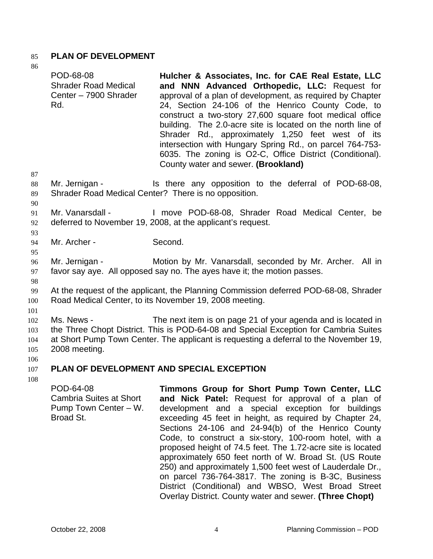## 85 **PLAN OF DEVELOPMENT**

86

| υU                   | POD-68-08<br><b>Shrader Road Medical</b><br>Center - 7900 Shrader<br>Rd.                                                                              | Hulcher & Associates, Inc. for CAE Real Estate, LLC<br>and NNN Advanced Orthopedic, LLC: Request for<br>approval of a plan of development, as required by Chapter<br>24, Section 24-106 of the Henrico County Code, to<br>construct a two-story 27,600 square foot medical office<br>building. The 2.0-acre site is located on the north line of<br>Shrader Rd., approximately 1,250 feet west of its<br>intersection with Hungary Spring Rd., on parcel 764-753-<br>6035. The zoning is O2-C, Office District (Conditional).<br>County water and sewer. (Brookland) |
|----------------------|-------------------------------------------------------------------------------------------------------------------------------------------------------|----------------------------------------------------------------------------------------------------------------------------------------------------------------------------------------------------------------------------------------------------------------------------------------------------------------------------------------------------------------------------------------------------------------------------------------------------------------------------------------------------------------------------------------------------------------------|
| 87<br>88<br>89       | Mr. Jernigan -                                                                                                                                        | Is there any opposition to the deferral of POD-68-08,<br>Shrader Road Medical Center? There is no opposition.                                                                                                                                                                                                                                                                                                                                                                                                                                                        |
| 90<br>91<br>92       | Mr. Vanarsdall -                                                                                                                                      | I move POD-68-08, Shrader Road Medical Center, be<br>deferred to November 19, 2008, at the applicant's request.                                                                                                                                                                                                                                                                                                                                                                                                                                                      |
| 93<br>94             | Mr. Archer -                                                                                                                                          | Second.                                                                                                                                                                                                                                                                                                                                                                                                                                                                                                                                                              |
| 95<br>96<br>97<br>98 | Motion by Mr. Vanarsdall, seconded by Mr. Archer. All in<br>Mr. Jernigan -<br>favor say aye. All opposed say no. The ayes have it; the motion passes. |                                                                                                                                                                                                                                                                                                                                                                                                                                                                                                                                                                      |
| 99<br>100            |                                                                                                                                                       | At the request of the applicant, the Planning Commission deferred POD-68-08, Shrader<br>Road Medical Center, to its November 19, 2008 meeting.                                                                                                                                                                                                                                                                                                                                                                                                                       |
| 101                  |                                                                                                                                                       |                                                                                                                                                                                                                                                                                                                                                                                                                                                                                                                                                                      |

102 103 104 105 106 Ms. News - The next item is on page 21 of your agenda and is located in the Three Chopt District. This is POD-64-08 and Special Exception for Cambria Suites at Short Pump Town Center. The applicant is requesting a deferral to the November 19, 2008 meeting.

### 107 **PLAN OF DEVELOPMENT AND SPECIAL EXCEPTION**

108

POD-64-08 Cambria Suites at Short Pump Town Center – W. Broad St. **Timmons Group for Short Pump Town Center, LLC and Nick Patel:** Request for approval of a plan of development and a special exception for buildings exceeding 45 feet in height, as required by Chapter 24, Sections 24-106 and 24-94(b) of the Henrico County Code, to construct a six-story, 100-room hotel, with a proposed height of 74.5 feet. The 1.72-acre site is located approximately 650 feet north of W. Broad St. (US Route 250) and approximately 1,500 feet west of Lauderdale Dr., on parcel 736-764-3817. The zoning is B-3C, Business District (Conditional) and WBSO, West Broad Street Overlay District. County water and sewer. **(Three Chopt)**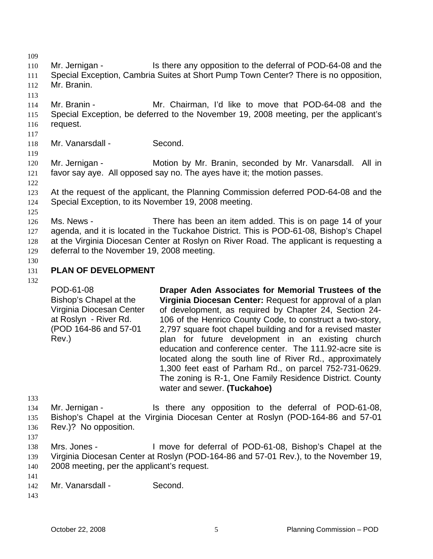109

110 111 112 Mr. Jernigan - Is there any opposition to the deferral of POD-64-08 and the Special Exception, Cambria Suites at Short Pump Town Center? There is no opposition, Mr. Branin.

113

114 115 116 Mr. Branin - The Mr. Chairman, I'd like to move that POD-64-08 and the Special Exception, be deferred to the November 19, 2008 meeting, per the applicant's request.

117

118 Mr. Vanarsdall - Second.

120 121 Mr. Jernigan - **Motion by Mr. Branin, seconded by Mr. Vanarsdall.** All in favor say aye. All opposed say no. The ayes have it; the motion passes.

122

119

123 124 At the request of the applicant, the Planning Commission deferred POD-64-08 and the Special Exception, to its November 19, 2008 meeting.

125

126 127 128 129 Ms. News - There has been an item added. This is on page 14 of your agenda, and it is located in the Tuckahoe District. This is POD-61-08, Bishop's Chapel at the Virginia Diocesan Center at Roslyn on River Road. The applicant is requesting a deferral to the November 19, 2008 meeting.

130

### 131 **PLAN OF DEVELOPMENT**

132

POD-61-08 Bishop's Chapel at the Virginia Diocesan Center at Roslyn - River Rd. (POD 164-86 and 57-01 Rev.) **Draper Aden Associates for Memorial Trustees of the Virginia Diocesan Center:** Request for approval of a plan of development, as required by Chapter 24, Section 24- 106 of the Henrico County Code, to construct a two-story, 2,797 square foot chapel building and for a revised master plan for future development in an existing church education and conference center. The 111.92-acre site is located along the south line of River Rd., approximately 1,300 feet east of Parham Rd., on parcel 752-731-0629. The zoning is R-1, One Family Residence District. County water and sewer. **(Tuckahoe)** 

133

134 135 Mr. Jernigan - Is there any opposition to the deferral of POD-61-08, Bishop's Chapel at the Virginia Diocesan Center at Roslyn (POD-164-86 and 57-01

- 136 Rev.)? No opposition.
- 137

138 139 140 Mrs. Jones - I move for deferral of POD-61-08, Bishop's Chapel at the Virginia Diocesan Center at Roslyn (POD-164-86 and 57-01 Rev.), to the November 19, 2008 meeting, per the applicant's request.

- 141 142 Mr. Vanarsdall - Second.
- 143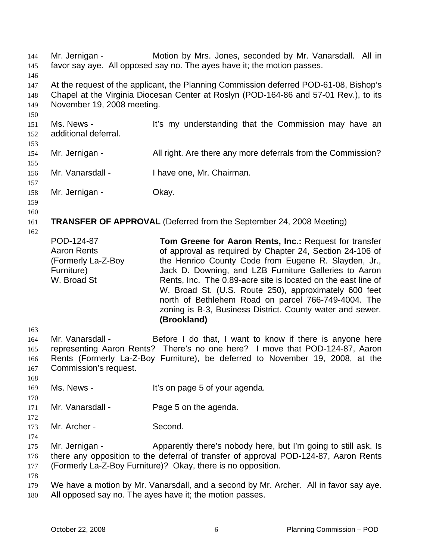Mr. Jernigan - Motion by Mrs. Jones, seconded by Mr. Vanarsdall. All in favor say aye. All opposed say no. The ayes have it; the motion passes. 144 145 146 147 148 149 150 151 152 153 154 155 156 157 158 159 160 161 162 163 164 165 166 167 168 169 170 171 172 173 174 175 176 177 178 179 180 At the request of the applicant, the Planning Commission deferred POD-61-08, Bishop's Chapel at the Virginia Diocesan Center at Roslyn (POD-164-86 and 57-01 Rev.), to its November 19, 2008 meeting. Ms. News - It's my understanding that the Commission may have an additional deferral. Mr. Jernigan - All right. Are there any more deferrals from the Commission? Mr. Vanarsdall - I have one, Mr. Chairman. Mr. Jernigan - **Okay. TRANSFER OF APPROVAL** (Deferred from the September 24, 2008 Meeting) POD-124-87 Aaron Rents (Formerly La-Z-Boy Furniture) W. Broad St **Tom Greene for Aaron Rents, Inc.:** Request for transfer of approval as required by Chapter 24, Section 24-106 of the Henrico County Code from Eugene R. Slayden, Jr., Jack D. Downing, and LZB Furniture Galleries to Aaron Rents, Inc. The 0.89-acre site is located on the east line of W. Broad St. (U.S. Route 250), approximately 600 feet north of Bethlehem Road on parcel 766-749-4004. The zoning is B-3, Business District. County water and sewer. **(Brookland)**  Mr. Vanarsdall - Before I do that, I want to know if there is anyone here representing Aaron Rents? There's no one here? I move that POD-124-87, Aaron Rents (Formerly La-Z-Boy Furniture), be deferred to November 19, 2008, at the Commission's request. Ms. News - The Music Consequence of your agenda. Mr. Vanarsdall - Page 5 on the agenda. Mr. Archer - Second. Mr. Jernigan - Apparently there's nobody here, but I'm going to still ask. Is there any opposition to the deferral of transfer of approval POD-124-87, Aaron Rents (Formerly La-Z-Boy Furniture)? Okay, there is no opposition. We have a motion by Mr. Vanarsdall, and a second by Mr. Archer. All in favor say aye. All opposed say no. The ayes have it; the motion passes.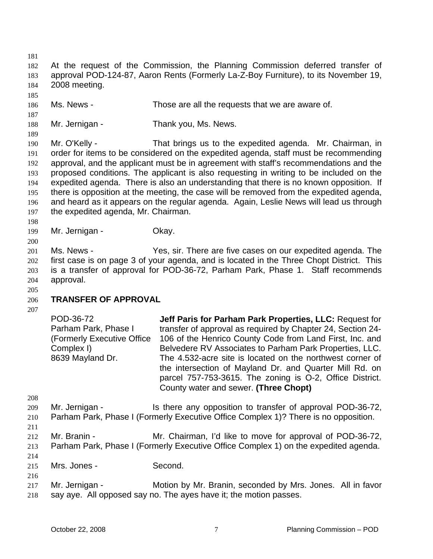181 182 183 184 185 186 187 188 189 190 191 192 193 194 195 196 197 198 199 200 201 202 203 204 205 206 207 208 209 210 211 212 213 214 215 216 217 218 At the request of the Commission, the Planning Commission deferred transfer of approval POD-124-87, Aaron Rents (Formerly La-Z-Boy Furniture), to its November 19, 2008 meeting. Ms. News - Those are all the requests that we are aware of. Mr. Jernigan - Thank you, Ms. News. Mr. O'Kelly - That brings us to the expedited agenda. Mr. Chairman, in order for items to be considered on the expedited agenda, staff must be recommending approval, and the applicant must be in agreement with staff's recommendations and the proposed conditions. The applicant is also requesting in writing to be included on the expedited agenda. There is also an understanding that there is no known opposition. If there is opposition at the meeting, the case will be removed from the expedited agenda, and heard as it appears on the regular agenda. Again, Leslie News will lead us through the expedited agenda, Mr. Chairman. Mr. Jernigan - **Okay.** Ms. News - Yes, sir. There are five cases on our expedited agenda. The first case is on page 3 of your agenda, and is located in the Three Chopt District. This is a transfer of approval for POD-36-72, Parham Park, Phase 1. Staff recommends approval. **TRANSFER OF APPROVAL**  POD-36-72 Parham Park, Phase I (Formerly Executive Office Complex I) 8639 Mayland Dr. **Jeff Paris for Parham Park Properties, LLC:** Request for transfer of approval as required by Chapter 24, Section 24- 106 of the Henrico County Code from Land First, Inc. and Belvedere RV Associates to Parham Park Properties, LLC. The 4.532-acre site is located on the northwest corner of the intersection of Mayland Dr. and Quarter Mill Rd. on parcel 757-753-3615. The zoning is O-2, Office District. County water and sewer. **(Three Chopt)**  Mr. Jernigan - Is there any opposition to transfer of approval POD-36-72, Parham Park, Phase I (Formerly Executive Office Complex 1)? There is no opposition. Mr. Branin - Mr. Chairman, I'd like to move for approval of POD-36-72, Parham Park, Phase I (Formerly Executive Office Complex 1) on the expedited agenda. Mrs. Jones - Second. Mr. Jernigan - Motion by Mr. Branin, seconded by Mrs. Jones. All in favor say aye. All opposed say no. The ayes have it; the motion passes.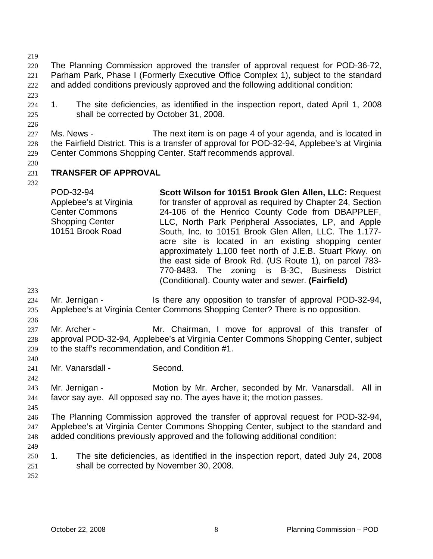219

220 221 222 The Planning Commission approved the transfer of approval request for POD-36-72, Parham Park, Phase I (Formerly Executive Office Complex 1), subject to the standard and added conditions previously approved and the following additional condition:

223

226

224 225 1. The site deficiencies, as identified in the inspection report, dated April 1, 2008 shall be corrected by October 31, 2008.

227 228 229 Ms. News - The next item is on page 4 of your agenda, and is located in the Fairfield District. This is a transfer of approval for POD-32-94, Applebee's at Virginia Center Commons Shopping Center. Staff recommends approval.

- 231 **TRANSFER OF APPROVAL**
- 232

230

POD-32-94 Applebee's at Virginia Center Commons Shopping Center 10151 Brook Road **Scott Wilson for 10151 Brook Glen Allen, LLC:** Request for transfer of approval as required by Chapter 24, Section 24-106 of the Henrico County Code from DBAPPLEF, LLC, North Park Peripheral Associates, LP, and Apple South, Inc. to 10151 Brook Glen Allen, LLC. The 1.177 acre site is located in an existing shopping center approximately 1,100 feet north of J.E.B. Stuart Pkwy. on the east side of Brook Rd. (US Route 1), on parcel 783- 770-8483. The zoning is B-3C, Business District (Conditional). County water and sewer. **(Fairfield)** 

- 233 234 Mr. Jernigan - The Is there any opposition to transfer of approval POD-32-94,
- 235 236 Applebee's at Virginia Center Commons Shopping Center? There is no opposition.

237 238 239 Mr. Archer - Mr. Chairman, I move for approval of this transfer of approval POD-32-94, Applebee's at Virginia Center Commons Shopping Center, subject to the staff's recommendation, and Condition #1.

241 Mr. Vanarsdall - Second.

243 244 Mr. Jernigan - Motion by Mr. Archer, seconded by Mr. Vanarsdall. All in favor say aye. All opposed say no. The ayes have it; the motion passes.

245

240

242

246 247 248 The Planning Commission approved the transfer of approval request for POD-32-94, Applebee's at Virginia Center Commons Shopping Center, subject to the standard and added conditions previously approved and the following additional condition:

- 249
- 250 251 1. The site deficiencies, as identified in the inspection report, dated July 24, 2008 shall be corrected by November 30, 2008.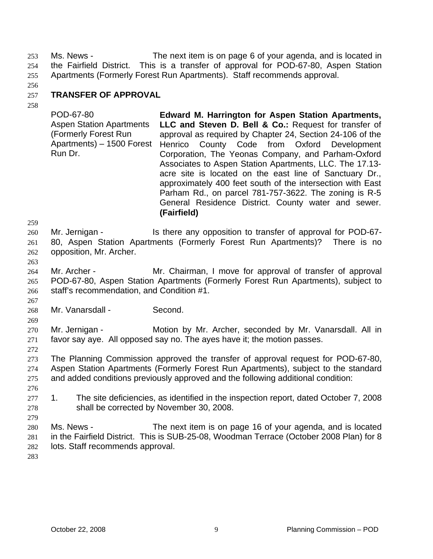Ms. News - The next item is on page 6 of your agenda, and is located in the Fairfield District. This is a transfer of approval for POD-67-80, Aspen Station Apartments (Formerly Forest Run Apartments). Staff recommends approval. 253 254 255

256

### 257 **TRANSFER OF APPROVAL**

258

POD-67-80 Aspen Station Apartments (Formerly Forest Run Apartments) – 1500 Forest Run Dr. **Edward M. Harrington for Aspen Station Apartments, LLC and Steven D. Bell & Co.:** Request for transfer of approval as required by Chapter 24, Section 24-106 of the Henrico County Code from Oxford Development Corporation, The Yeonas Company, and Parham-Oxford Associates to Aspen Station Apartments, LLC. The 17.13 acre site is located on the east line of Sanctuary Dr., approximately 400 feet south of the intersection with East Parham Rd., on parcel 781-757-3622. The zoning is R-5 General Residence District. County water and sewer. **(Fairfield)**

259

260 261 262 Mr. Jernigan - Is there any opposition to transfer of approval for POD-67-80, Aspen Station Apartments (Formerly Forest Run Apartments)? There is no opposition, Mr. Archer.

263

267

264 265 266 Mr. Archer - The Mr. Chairman, I move for approval of transfer of approval POD-67-80, Aspen Station Apartments (Formerly Forest Run Apartments), subject to staff's recommendation, and Condition #1.

268 Mr. Vanarsdall - Second.

269 270 271 Mr. Jernigan - **Motion by Mr. Archer, seconded by Mr. Vanarsdall. All in** favor say aye. All opposed say no. The ayes have it; the motion passes.

272 273 274 275 The Planning Commission approved the transfer of approval request for POD-67-80, Aspen Station Apartments (Formerly Forest Run Apartments), subject to the standard and added conditions previously approved and the following additional condition:

- 277 278 1. The site deficiencies, as identified in the inspection report, dated October 7, 2008 shall be corrected by November 30, 2008.
- 280 281 282 Ms. News - The next item is on page 16 of your agenda, and is located in the Fairfield District. This is SUB-25-08, Woodman Terrace (October 2008 Plan) for 8 lots. Staff recommends approval.

283

276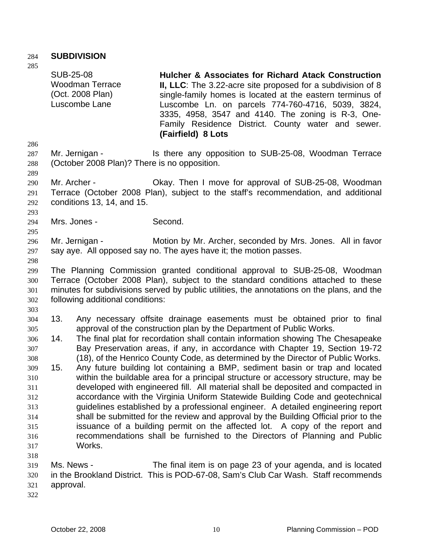## 284 **SUBDIVISION**

285

286 287 288 289 290 291 292 293 294 295 296 297 298 299 300 301 302 303 304 305 306 307 308 309 310 311 312 313 314 315 316 317 318 319 320 321 322 SUB-25-08 Woodman Terrace (Oct. 2008 Plan) Luscombe Lane **Hulcher & Associates for Richard Atack Construction II, LLC**: The 3.22-acre site proposed for a subdivision of 8 single-family homes is located at the eastern terminus of Luscombe Ln. on parcels 774-760-4716, 5039, 3824, 3335, 4958, 3547 and 4140. The zoning is R-3, One-Family Residence District. County water and sewer. **(Fairfield) 8 Lots** Mr. Jernigan - Is there any opposition to SUB-25-08, Woodman Terrace (October 2008 Plan)? There is no opposition. Mr. Archer - Chay. Then I move for approval of SUB-25-08, Woodman Terrace (October 2008 Plan), subject to the staff's recommendation, and additional conditions 13, 14, and 15. Mrs. Jones - Second. Mr. Jernigan - Motion by Mr. Archer, seconded by Mrs. Jones. All in favor say aye. All opposed say no. The ayes have it; the motion passes. The Planning Commission granted conditional approval to SUB-25-08, Woodman Terrace (October 2008 Plan), subject to the standard conditions attached to these minutes for subdivisions served by public utilities, the annotations on the plans, and the following additional conditions: 13. Any necessary offsite drainage easements must be obtained prior to final approval of the construction plan by the Department of Public Works. 14. The final plat for recordation shall contain information showing The Chesapeake Bay Preservation areas, if any, in accordance with Chapter 19, Section 19-72 (18), of the Henrico County Code, as determined by the Director of Public Works. 15. Any future building lot containing a BMP, sediment basin or trap and located within the buildable area for a principal structure or accessory structure, may be developed with engineered fill. All material shall be deposited and compacted in accordance with the Virginia Uniform Statewide Building Code and geotechnical guidelines established by a professional engineer. A detailed engineering report shall be submitted for the review and approval by the Building Official prior to the issuance of a building permit on the affected lot. A copy of the report and recommendations shall be furnished to the Directors of Planning and Public Works. Ms. News - The final item is on page 23 of your agenda, and is located in the Brookland District. This is POD-67-08, Sam's Club Car Wash. Staff recommends approval.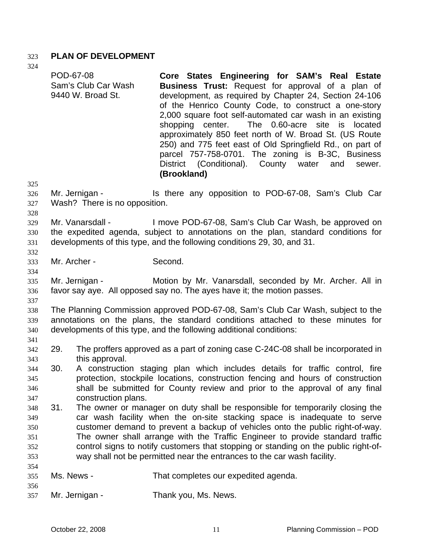### 323 **PLAN OF DEVELOPMENT**

324

325 326 327 328 329 330 331 332 333 334 335 336 337 338 339 340 341 342 343 344 345 346 347 348 349 350 351 352 353 354 355 356 357 POD-67-08 Sam's Club Car Wash 9440 W. Broad St. **Core States Engineering for SAM's Real Estate Business Trust:** Request for approval of a plan of development, as required by Chapter 24, Section 24-106 of the Henrico County Code, to construct a one-story 2,000 square foot self-automated car wash in an existing shopping center. The 0.60-acre site is located approximately 850 feet north of W. Broad St. (US Route 250) and 775 feet east of Old Springfield Rd., on part of parcel 757-758-0701. The zoning is B-3C, Business District (Conditional). County water and sewer. **(Brookland)**  Mr. Jernigan - The Is there any opposition to POD-67-08, Sam's Club Car Wash? There is no opposition. Mr. Vanarsdall - I move POD-67-08, Sam's Club Car Wash, be approved on the expedited agenda, subject to annotations on the plan, standard conditions for developments of this type, and the following conditions 29, 30, and 31. Mr. Archer - Second. Mr. Jernigan - Motion by Mr. Vanarsdall, seconded by Mr. Archer. All in favor say aye. All opposed say no. The ayes have it; the motion passes. The Planning Commission approved POD-67-08, Sam's Club Car Wash, subject to the annotations on the plans, the standard conditions attached to these minutes for developments of this type, and the following additional conditions: 29. The proffers approved as a part of zoning case C-24C-08 shall be incorporated in this approval. 30. A construction staging plan which includes details for traffic control, fire protection, stockpile locations, construction fencing and hours of construction shall be submitted for County review and prior to the approval of any final construction plans. 31. The owner or manager on duty shall be responsible for temporarily closing the car wash facility when the on-site stacking space is inadequate to serve customer demand to prevent a backup of vehicles onto the public right-of-way. The owner shall arrange with the Traffic Engineer to provide standard traffic control signs to notify customers that stopping or standing on the public right-ofway shall not be permitted near the entrances to the car wash facility. Ms. News - That completes our expedited agenda. Mr. Jernigan - Thank you, Ms. News.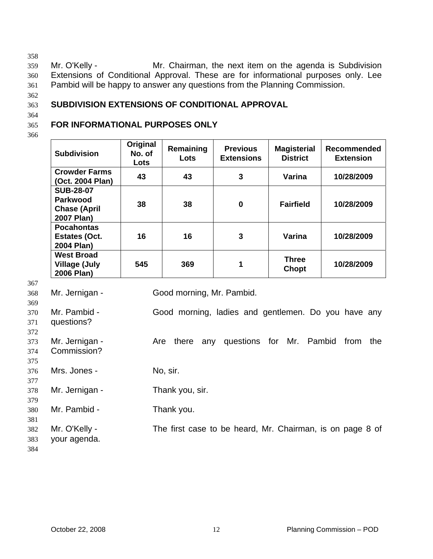358

359 360 361 Mr. O'Kelly - Mr. Chairman, the next item on the agenda is Subdivision Extensions of Conditional Approval. These are for informational purposes only. Lee Pambid will be happy to answer any questions from the Planning Commission.

362

364

363

## **SUBDIVISION EXTENSIONS OF CONDITIONAL APPROVAL**

#### 365 **FOR INFORMATIONAL PURPOSES ONLY**

366

| <b>Subdivision</b>                                                       | Original<br>No. of<br>Lots | Remaining<br>Lots | <b>Previous</b><br><b>Extensions</b> | <b>Magisterial</b><br><b>District</b> | <b>Recommended</b><br><b>Extension</b> |
|--------------------------------------------------------------------------|----------------------------|-------------------|--------------------------------------|---------------------------------------|----------------------------------------|
| <b>Crowder Farms</b><br>(Oct. 2004 Plan)                                 | 43                         | 43                | 3                                    | Varina                                | 10/28/2009                             |
| <b>SUB-28-07</b><br><b>Parkwood</b><br><b>Chase (April</b><br>2007 Plan) | 38                         | 38                | 0                                    | <b>Fairfield</b>                      | 10/28/2009                             |
| <b>Pocahontas</b><br><b>Estates (Oct.</b><br>2004 Plan)                  | 16                         | 16                | 3                                    | Varina                                | 10/28/2009                             |
| <b>West Broad</b><br><b>Village (July</b><br>2006 Plan)                  | 545                        | 369               | 1                                    | <b>Three</b><br>Chopt                 | 10/28/2009                             |

| JU 1                     |                               |                                                                |
|--------------------------|-------------------------------|----------------------------------------------------------------|
| 368                      | Mr. Jernigan -                | Good morning, Mr. Pambid.                                      |
| 369<br>370<br>371        | Mr. Pambid -<br>questions?    | Good morning, ladies and gentlemen. Do you have any            |
| 372<br>373<br>374<br>375 | Mr. Jernigan -<br>Commission? | questions for Mr. Pambid<br>from<br>there<br>any<br>the<br>Are |
| 376<br>377               | Mrs. Jones -                  | No, sir.                                                       |
| 378<br>379               | Mr. Jernigan -                | Thank you, sir.                                                |
| 380<br>381               | Mr. Pambid -                  | Thank you.                                                     |
| 382<br>383<br>384        | Mr. O'Kelly -<br>your agenda. | The first case to be heard, Mr. Chairman, is on page 8 of      |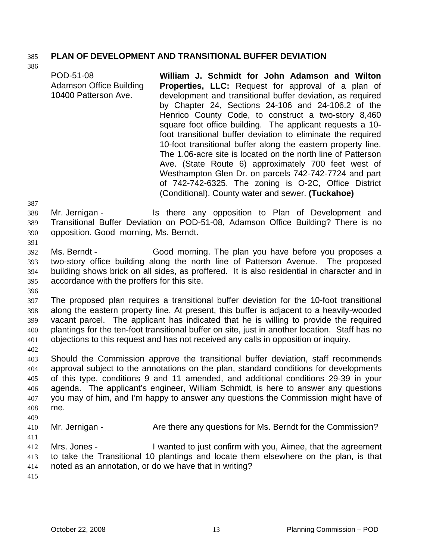## 385 **PLAN OF DEVELOPMENT AND TRANSITIONAL BUFFER DEVIATION**

POD-51-08 Adamson Office Building 10400 Patterson Ave. **William J. Schmidt for John Adamson and Wilton Properties, LLC:** Request for approval of a plan of development and transitional buffer deviation, as required by Chapter 24, Sections 24-106 and 24-106.2 of the Henrico County Code, to construct a two-story 8,460 square foot office building. The applicant requests a 10 foot transitional buffer deviation to eliminate the required 10-foot transitional buffer along the eastern property line. The 1.06-acre site is located on the north line of Patterson Ave. (State Route 6) approximately 700 feet west of Westhampton Glen Dr. on parcels 742-742-7724 and part of 742-742-6325. The zoning is O-2C, Office District (Conditional). County water and sewer. **(Tuckahoe)** 

387

391

386

- 388 389 390 Mr. Jernigan - The Is there any opposition to Plan of Development and Transitional Buffer Deviation on POD-51-08, Adamson Office Building? There is no opposition. Good morning, Ms. Berndt.
- 392 393 394 395 Ms. Berndt - Good morning. The plan you have before you proposes a two-story office building along the north line of Patterson Avenue. The proposed building shows brick on all sides, as proffered. It is also residential in character and in accordance with the proffers for this site.
- 396

397 398 399 400 401 The proposed plan requires a transitional buffer deviation for the 10-foot transitional along the eastern property line. At present, this buffer is adjacent to a heavily-wooded vacant parcel. The applicant has indicated that he is willing to provide the required plantings for the ten-foot transitional buffer on site, just in another location. Staff has no objections to this request and has not received any calls in opposition or inquiry.

402

403 404 405 406 407 408 409 Should the Commission approve the transitional buffer deviation, staff recommends approval subject to the annotations on the plan, standard conditions for developments of this type, conditions 9 and 11 amended, and additional conditions 29-39 in your agenda. The applicant's engineer, William Schmidt, is here to answer any questions you may of him, and I'm happy to answer any questions the Commission might have of me.

410 Mr. Jernigan - Are there any questions for Ms. Berndt for the Commission?

411

412 413 414 Mrs. Jones - I wanted to just confirm with you, Aimee, that the agreement to take the Transitional 10 plantings and locate them elsewhere on the plan, is that noted as an annotation, or do we have that in writing?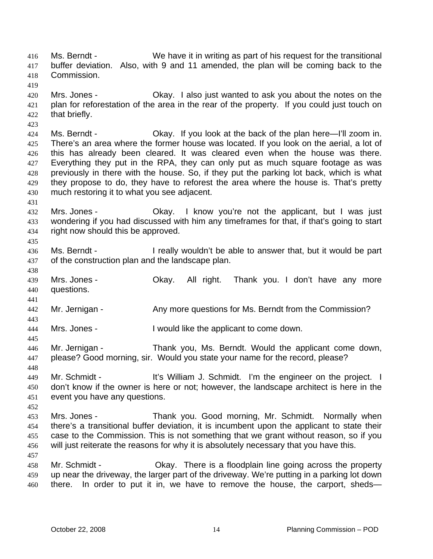Ms. Berndt - We have it in writing as part of his request for the transitional buffer deviation. Also, with 9 and 11 amended, the plan will be coming back to the Commission. 416 417 418 419 420 421 422 423 424 425 426 427 428 429 430 431 432 433 434 435 436 437 438 439 440 441 442 443 444 445 446 447 448 449 450 451 452 453 454 455 456 457 458 459 460 Mrs. Jones - Okay. I also just wanted to ask you about the notes on the plan for reforestation of the area in the rear of the property. If you could just touch on that briefly. Ms. Berndt - Okay. If you look at the back of the plan here—I'll zoom in. There's an area where the former house was located. If you look on the aerial, a lot of this has already been cleared. It was cleared even when the house was there. Everything they put in the RPA, they can only put as much square footage as was previously in there with the house. So, if they put the parking lot back, which is what they propose to do, they have to reforest the area where the house is. That's pretty much restoring it to what you see adjacent. Mrs. Jones - Okay. I know you're not the applicant, but I was just wondering if you had discussed with him any timeframes for that, if that's going to start right now should this be approved. Ms. Berndt - The ally wouldn't be able to answer that, but it would be part of the construction plan and the landscape plan. Mrs. Jones - Ckay. All right. Thank you. I don't have any more questions. Mr. Jernigan - The Any more questions for Ms. Berndt from the Commission? Mrs. Jones - I would like the applicant to come down. Mr. Jernigan - Thank you, Ms. Berndt. Would the applicant come down, please? Good morning, sir. Would you state your name for the record, please? Mr. Schmidt - It's William J. Schmidt. I'm the engineer on the project. I don't know if the owner is here or not; however, the landscape architect is here in the event you have any questions. Mrs. Jones - Thank you. Good morning, Mr. Schmidt. Normally when there's a transitional buffer deviation, it is incumbent upon the applicant to state their case to the Commission. This is not something that we grant without reason, so if you will just reiterate the reasons for why it is absolutely necessary that you have this. Mr. Schmidt - Okay. There is a floodplain line going across the property up near the driveway, the larger part of the driveway. We're putting in a parking lot down there. In order to put it in, we have to remove the house, the carport, sheds—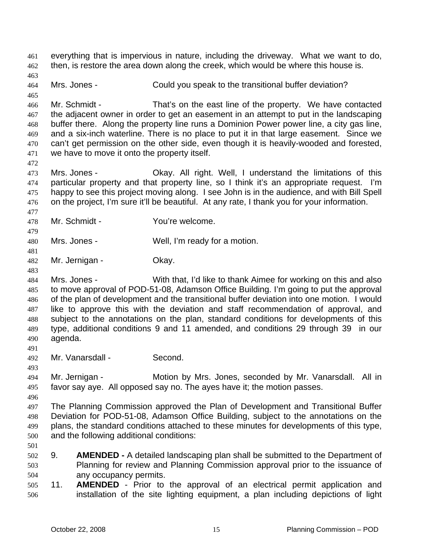everything that is impervious in nature, including the driveway. What we want to do, then, is restore the area down along the creek, which would be where this house is. 461 462 463 464 465 466 467 468 469 470 471 472 473 474 475 476 477 478 479 480 481 482 483 484 485 486 487 488 489 490 491 492 493 494 495 496 497 498 499 500 501 502 503 504 505 506 Mrs. Jones - Could you speak to the transitional buffer deviation? Mr. Schmidt - That's on the east line of the property. We have contacted the adjacent owner in order to get an easement in an attempt to put in the landscaping buffer there. Along the property line runs a Dominion Power power line, a city gas line, and a six-inch waterline. There is no place to put it in that large easement. Since we can't get permission on the other side, even though it is heavily-wooded and forested, we have to move it onto the property itself. Mrs. Jones - Ckay. All right. Well, I understand the limitations of this particular property and that property line, so I think it's an appropriate request. I'm happy to see this project moving along. I see John is in the audience, and with Bill Spell on the project, I'm sure it'll be beautiful. At any rate, I thank you for your information. Mr. Schmidt - You're welcome. Mrs. Jones - Well, I'm ready for a motion. Mr. Jernigan - **Okay.** Mrs. Jones - With that, I'd like to thank Aimee for working on this and also to move approval of POD-51-08, Adamson Office Building. I'm going to put the approval of the plan of development and the transitional buffer deviation into one motion. I would like to approve this with the deviation and staff recommendation of approval, and subject to the annotations on the plan, standard conditions for developments of this type, additional conditions 9 and 11 amended, and conditions 29 through 39 in our agenda. Mr. Vanarsdall - Second. Mr. Jernigan - **Motion by Mrs. Jones, seconded by Mr. Vanarsdall.** All in favor say aye. All opposed say no. The ayes have it; the motion passes. The Planning Commission approved the Plan of Development and Transitional Buffer Deviation for POD-51-08, Adamson Office Building, subject to the annotations on the plans, the standard conditions attached to these minutes for developments of this type, and the following additional conditions: 9. **AMENDED -** A detailed landscaping plan shall be submitted to the Department of Planning for review and Planning Commission approval prior to the issuance of any occupancy permits. 11. **AMENDED** - Prior to the approval of an electrical permit application and installation of the site lighting equipment, a plan including depictions of light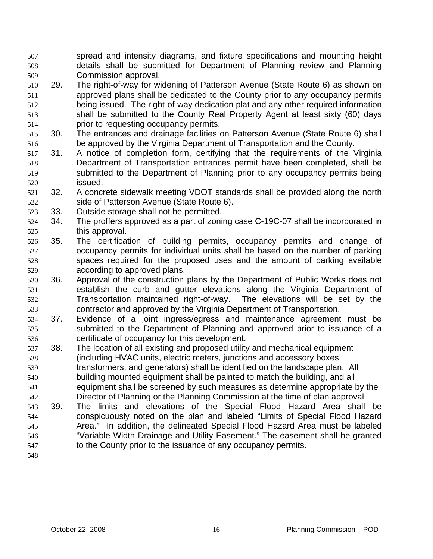spread and intensity diagrams, and fixture specifications and mounting height details shall be submitted for Department of Planning review and Planning Commission approval. 507 508 509

- 510 511 512 513 514 29. The right-of-way for widening of Patterson Avenue (State Route 6) as shown on approved plans shall be dedicated to the County prior to any occupancy permits being issued. The right-of-way dedication plat and any other required information shall be submitted to the County Real Property Agent at least sixty (60) days prior to requesting occupancy permits.
- 515 516 30. The entrances and drainage facilities on Patterson Avenue (State Route 6) shall be approved by the Virginia Department of Transportation and the County.
- 517 518 519 520 31. A notice of completion form, certifying that the requirements of the Virginia Department of Transportation entrances permit have been completed, shall be submitted to the Department of Planning prior to any occupancy permits being issued.
- 521 522 32. A concrete sidewalk meeting VDOT standards shall be provided along the north side of Patterson Avenue (State Route 6).
- 523 33. Outside storage shall not be permitted.
- 524 525 34. The proffers approved as a part of zoning case C-19C-07 shall be incorporated in this approval.
- 526 527 528 529 35. The certification of building permits, occupancy permits and change of occupancy permits for individual units shall be based on the number of parking spaces required for the proposed uses and the amount of parking available according to approved plans.
- 530 531 532 533 36. Approval of the construction plans by the Department of Public Works does not establish the curb and gutter elevations along the Virginia Department of Transportation maintained right-of-way. The elevations will be set by the contractor and approved by the Virginia Department of Transportation.
- 534 535 536 37. Evidence of a joint ingress/egress and maintenance agreement must be submitted to the Department of Planning and approved prior to issuance of a certificate of occupancy for this development.
- 537 538 38. The location of all existing and proposed utility and mechanical equipment (including HVAC units, electric meters, junctions and accessory boxes,
- 539 540 transformers, and generators) shall be identified on the landscape plan. All building mounted equipment shall be painted to match the building, and all
- 541 542 equipment shall be screened by such measures as determine appropriate by the Director of Planning or the Planning Commission at the time of plan approval
- 543 544 545 546 547 39. The limits and elevations of the Special Flood Hazard Area shall be conspicuously noted on the plan and labeled "Limits of Special Flood Hazard Area." In addition, the delineated Special Flood Hazard Area must be labeled "Variable Width Drainage and Utility Easement." The easement shall be granted to the County prior to the issuance of any occupancy permits.
- 548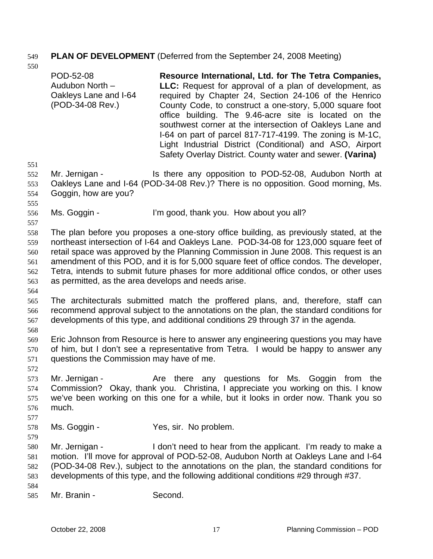# 549 **PLAN OF DEVELOPMENT** (Deferred from the September 24, 2008 Meeting)

|                                               | POD-52-08<br>Audubon North -<br>Oakleys Lane and I-64<br>(POD-34-08 Rev.)                                                                                                                                                                                                                                                                                                                                                                                                                                             | Resource International, Ltd. for The Tetra Companies,<br><b>LLC:</b> Request for approval of a plan of development, as<br>required by Chapter 24, Section 24-106 of the Henrico<br>County Code, to construct a one-story, 5,000 square foot<br>office building. The 9.46-acre site is located on the<br>southwest corner at the intersection of Oakleys Lane and<br>I-64 on part of parcel 817-717-4199. The zoning is M-1C,<br>Light Industrial District (Conditional) and ASO, Airport<br>Safety Overlay District. County water and sewer. (Varina) |  |
|-----------------------------------------------|-----------------------------------------------------------------------------------------------------------------------------------------------------------------------------------------------------------------------------------------------------------------------------------------------------------------------------------------------------------------------------------------------------------------------------------------------------------------------------------------------------------------------|-------------------------------------------------------------------------------------------------------------------------------------------------------------------------------------------------------------------------------------------------------------------------------------------------------------------------------------------------------------------------------------------------------------------------------------------------------------------------------------------------------------------------------------------------------|--|
| 551<br>552<br>553<br>554<br>555               | Mr. Jernigan -<br>Goggin, how are you?                                                                                                                                                                                                                                                                                                                                                                                                                                                                                | Is there any opposition to POD-52-08, Audubon North at<br>Oakleys Lane and I-64 (POD-34-08 Rev.)? There is no opposition. Good morning, Ms.                                                                                                                                                                                                                                                                                                                                                                                                           |  |
| 556                                           | Ms. Goggin -                                                                                                                                                                                                                                                                                                                                                                                                                                                                                                          | I'm good, thank you. How about you all?                                                                                                                                                                                                                                                                                                                                                                                                                                                                                                               |  |
| 557<br>558<br>559<br>560<br>561<br>562<br>563 | The plan before you proposes a one-story office building, as previously stated, at the<br>northeast intersection of I-64 and Oakleys Lane. POD-34-08 for 123,000 square feet of<br>retail space was approved by the Planning Commission in June 2008. This request is an<br>amendment of this POD, and it is for 5,000 square feet of office condos. The developer,<br>Tetra, intends to submit future phases for more additional office condos, or other uses<br>as permitted, as the area develops and needs arise. |                                                                                                                                                                                                                                                                                                                                                                                                                                                                                                                                                       |  |
| 564<br>565<br>566<br>567                      | The architecturals submitted match the proffered plans, and, therefore, staff can<br>recommend approval subject to the annotations on the plan, the standard conditions for<br>developments of this type, and additional conditions 29 through 37 in the agenda.                                                                                                                                                                                                                                                      |                                                                                                                                                                                                                                                                                                                                                                                                                                                                                                                                                       |  |
| 568<br>569<br>570<br>571                      | Eric Johnson from Resource is here to answer any engineering questions you may have<br>of him, but I don't see a representative from Tetra. I would be happy to answer any<br>questions the Commission may have of me.                                                                                                                                                                                                                                                                                                |                                                                                                                                                                                                                                                                                                                                                                                                                                                                                                                                                       |  |
| 572<br>573<br>574<br>575<br>576<br>577        | Mr. Jernigan -<br>much.                                                                                                                                                                                                                                                                                                                                                                                                                                                                                               | Are there any questions for Ms. Goggin<br>from<br>the<br>Commission? Okay, thank you. Christina, I appreciate you working on this. I know<br>we've been working on this one for a while, but it looks in order now. Thank you so                                                                                                                                                                                                                                                                                                                      |  |
| 578                                           | Ms. Goggin -                                                                                                                                                                                                                                                                                                                                                                                                                                                                                                          | Yes, sir. No problem.                                                                                                                                                                                                                                                                                                                                                                                                                                                                                                                                 |  |
| 579<br>580<br>581<br>582<br>583<br>584        | Mr. Jernigan -                                                                                                                                                                                                                                                                                                                                                                                                                                                                                                        | I don't need to hear from the applicant. I'm ready to make a<br>motion. I'll move for approval of POD-52-08, Audubon North at Oakleys Lane and I-64<br>(POD-34-08 Rev.), subject to the annotations on the plan, the standard conditions for<br>developments of this type, and the following additional conditions #29 through #37.                                                                                                                                                                                                                   |  |
| 585                                           | Mr. Branin -                                                                                                                                                                                                                                                                                                                                                                                                                                                                                                          | Second.                                                                                                                                                                                                                                                                                                                                                                                                                                                                                                                                               |  |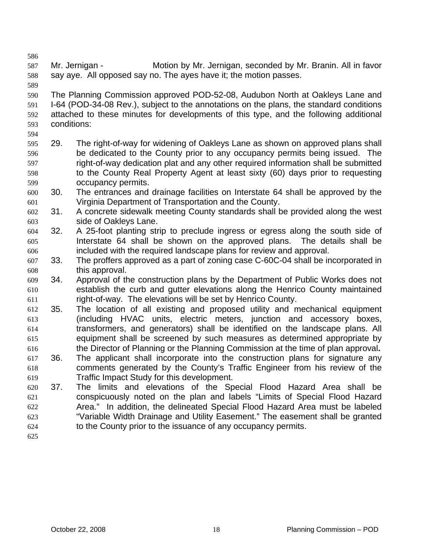587 588 Mr. Jernigan - Motion by Mr. Jernigan, seconded by Mr. Branin. All in favor say aye. All opposed say no. The ayes have it; the motion passes.

590 591 592 593 The Planning Commission approved POD-52-08, Audubon North at Oakleys Lane and I-64 (POD-34-08 Rev.), subject to the annotations on the plans, the standard conditions attached to these minutes for developments of this type, and the following additional conditions:

594

586

- 595 596 597 598 599 29. The right-of-way for widening of Oakleys Lane as shown on approved plans shall be dedicated to the County prior to any occupancy permits being issued. The right-of-way dedication plat and any other required information shall be submitted to the County Real Property Agent at least sixty (60) days prior to requesting occupancy permits.
- 600 601 30. The entrances and drainage facilities on Interstate 64 shall be approved by the Virginia Department of Transportation and the County.
- 602 603 31. A concrete sidewalk meeting County standards shall be provided along the west side of Oakleys Lane.
- 604 605 606 32. A 25-foot planting strip to preclude ingress or egress along the south side of Interstate 64 shall be shown on the approved plans. The details shall be included with the required landscape plans for review and approval.
- 607 608 33. The proffers approved as a part of zoning case C-60C-04 shall be incorporated in this approval.
- 609 610 611 34. Approval of the construction plans by the Department of Public Works does not establish the curb and gutter elevations along the Henrico County maintained right-of-way. The elevations will be set by Henrico County.
- 612 613 614 615 616 35. The location of all existing and proposed utility and mechanical equipment (including HVAC units, electric meters, junction and accessory boxes, transformers, and generators) shall be identified on the landscape plans. All equipment shall be screened by such measures as determined appropriate by the Director of Planning or the Planning Commission at the time of plan approval**.**
- 617 618 619 36. The applicant shall incorporate into the construction plans for signature any comments generated by the County's Traffic Engineer from his review of the Traffic Impact Study for this development.
- 620 621 622 623 624 37. The limits and elevations of the Special Flood Hazard Area shall be conspicuously noted on the plan and labels "Limits of Special Flood Hazard Area." In addition, the delineated Special Flood Hazard Area must be labeled "Variable Width Drainage and Utility Easement." The easement shall be granted to the County prior to the issuance of any occupancy permits.
- 625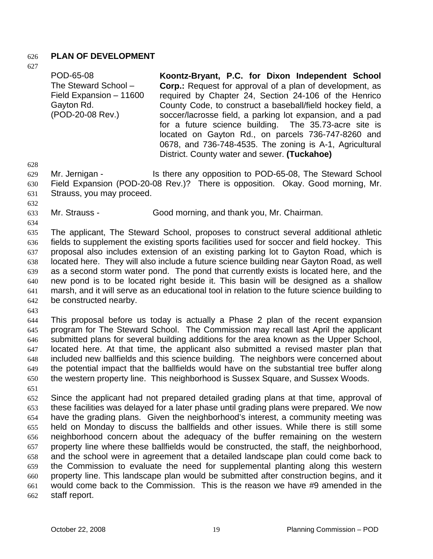### 626 **PLAN OF DEVELOPMENT**

627

POD-65-08 The Steward School – Field Expansion – 11600 Gayton Rd. (POD-20-08 Rev.) **Koontz-Bryant, P.C. for Dixon Independent School Corp.:** Request for approval of a plan of development, as required by Chapter 24, Section 24-106 of the Henrico County Code, to construct a baseball/field hockey field, a soccer/lacrosse field, a parking lot expansion, and a pad for a future science building. The 35.73-acre site is located on Gayton Rd., on parcels 736-747-8260 and 0678, and 736-748-4535. The zoning is A-1, Agricultural District. County water and sewer. **(Tuckahoe)** 

628

629 Mr. Jernigan - The Steward School is there any opposition to POD-65-08, The Steward School

630 631 Field Expansion (POD-20-08 Rev.)? There is opposition. Okay. Good morning, Mr. Strauss, you may proceed.

632

633 Mr. Strauss - Good morning, and thank you, Mr. Chairman.

634

635 636 637 638 639 640 641 642 The applicant, The Steward School, proposes to construct several additional athletic fields to supplement the existing sports facilities used for soccer and field hockey. This proposal also includes extension of an existing parking lot to Gayton Road, which is located here. They will also include a future science building near Gayton Road, as well as a second storm water pond. The pond that currently exists is located here, and the new pond is to be located right beside it. This basin will be designed as a shallow marsh, and it will serve as an educational tool in relation to the future science building to be constructed nearby.

643

644 645 646 647 648 649 650 This proposal before us today is actually a Phase 2 plan of the recent expansion program for The Steward School. The Commission may recall last April the applicant submitted plans for several building additions for the area known as the Upper School, located here. At that time, the applicant also submitted a revised master plan that included new ballfields and this science building. The neighbors were concerned about the potential impact that the ballfields would have on the substantial tree buffer along the western property line. This neighborhood is Sussex Square, and Sussex Woods.

651

652 653 654 655 656 657 658 659 660 661 662 Since the applicant had not prepared detailed grading plans at that time, approval of these facilities was delayed for a later phase until grading plans were prepared. We now have the grading plans. Given the neighborhood's interest, a community meeting was held on Monday to discuss the ballfields and other issues. While there is still some neighborhood concern about the adequacy of the buffer remaining on the western property line where these ballfields would be constructed, the staff, the neighborhood, and the school were in agreement that a detailed landscape plan could come back to the Commission to evaluate the need for supplemental planting along this western property line. This landscape plan would be submitted after construction begins, and it would come back to the Commission. This is the reason we have #9 amended in the staff report.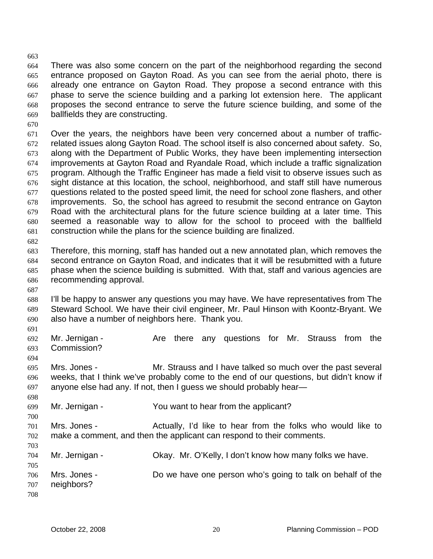664 665 666 667 668 669 There was also some concern on the part of the neighborhood regarding the second entrance proposed on Gayton Road. As you can see from the aerial photo, there is already one entrance on Gayton Road. They propose a second entrance with this phase to serve the science building and a parking lot extension here. The applicant proposes the second entrance to serve the future science building, and some of the ballfields they are constructing.

670

663

671 672 673 674 675 676 677 678 679 680 681 Over the years, the neighbors have been very concerned about a number of trafficrelated issues along Gayton Road. The school itself is also concerned about safety. So, along with the Department of Public Works, they have been implementing intersection improvements at Gayton Road and Ryandale Road, which include a traffic signalization program. Although the Traffic Engineer has made a field visit to observe issues such as sight distance at this location, the school, neighborhood, and staff still have numerous questions related to the posted speed limit, the need for school zone flashers, and other improvements. So, the school has agreed to resubmit the second entrance on Gayton Road with the architectural plans for the future science building at a later time. This seemed a reasonable way to allow for the school to proceed with the ballfield construction while the plans for the science building are finalized.

682

683 684 685 686 Therefore, this morning, staff has handed out a new annotated plan, which removes the second entrance on Gayton Road, and indicates that it will be resubmitted with a future phase when the science building is submitted. With that, staff and various agencies are recommending approval.

687

688 689 690 I'll be happy to answer any questions you may have. We have representatives from The Steward School. We have their civil engineer, Mr. Paul Hinson with Koontz-Bryant. We also have a number of neighbors here. Thank you.

691

698

700

703

692 693 694 Mr. Jernigan - The Are there any questions for Mr. Strauss from the Commission?

695 696 697 Mrs. Jones - Mr. Strauss and I have talked so much over the past several weeks, that I think we've probably come to the end of our questions, but didn't know if anyone else had any. If not, then I guess we should probably hear—

- 699 Mr. Jernigan - The You want to hear from the applicant?
- 701 702 Mrs. Jones - Actually, I'd like to hear from the folks who would like to make a comment, and then the applicant can respond to their comments.
- 704 705 706 707 Mr. Jernigan - Ckay. Mr. O'Kelly, I don't know how many folks we have. Mrs. Jones - Do we have one person who's going to talk on behalf of the neighbors?
- 708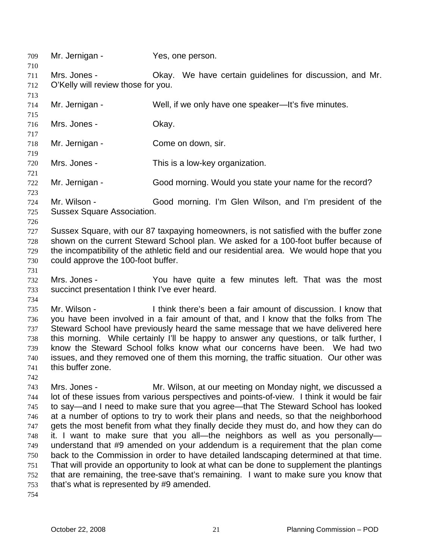709 Mr. Jernigan - Yes, one person. 710 711 712 713 714 715 716 717 718 719 720 721 722 723 724 725 726 727 728 729 730 731 732 733 734 735 736 737 738 739 740 741 742 743 744 745 746 747 748 749 750 751 752 753 754 Mrs. Jones - Okay. We have certain guidelines for discussion, and Mr. O'Kelly will review those for you. Mr. Jernigan - Well, if we only have one speaker—It's five minutes. Mrs. Jones - Chay. Mr. Jernigan - Come on down, sir. Mrs. Jones - This is a low-key organization. Mr. Jernigan - Good morning. Would you state your name for the record? Mr. Wilson - Good morning. I'm Glen Wilson, and I'm president of the Sussex Square Association. Sussex Square, with our 87 taxpaying homeowners, is not satisfied with the buffer zone shown on the current Steward School plan. We asked for a 100-foot buffer because of the incompatibility of the athletic field and our residential area. We would hope that you could approve the 100-foot buffer. Mrs. Jones - The You have quite a few minutes left. That was the most succinct presentation I think I've ever heard. Mr. Wilson - Think there's been a fair amount of discussion. I know that you have been involved in a fair amount of that, and I know that the folks from The Steward School have previously heard the same message that we have delivered here this morning. While certainly I'll be happy to answer any questions, or talk further, I know the Steward School folks know what our concerns have been. We had two issues, and they removed one of them this morning, the traffic situation. Our other was this buffer zone. Mrs. Jones - **Mr. Wilson, at our meeting on Monday night, we discussed a** lot of these issues from various perspectives and points-of-view. I think it would be fair to say—and I need to make sure that you agree—that The Steward School has looked at a number of options to try to work their plans and needs, so that the neighborhood gets the most benefit from what they finally decide they must do, and how they can do it. I want to make sure that you all—the neighbors as well as you personally understand that #9 amended on your addendum is a requirement that the plan come back to the Commission in order to have detailed landscaping determined at that time. That will provide an opportunity to look at what can be done to supplement the plantings that are remaining, the tree-save that's remaining. I want to make sure you know that that's what is represented by #9 amended.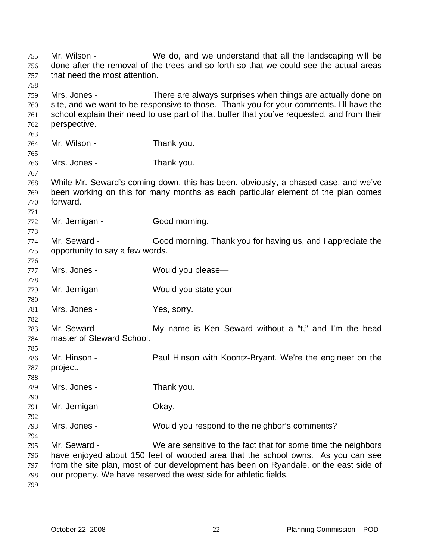Mr. Wilson - We do, and we understand that all the landscaping will be done after the removal of the trees and so forth so that we could see the actual areas that need the most attention. 755 756 757 758 759 760 761 762 763 764 765 766 767 768 769 770 771 772 773 774 775 776 777 778 779 780 781 782 783 784 785 786 787 788 789 790 791 792 793 794 795 796 797 798 Mrs. Jones - There are always surprises when things are actually done on site, and we want to be responsive to those. Thank you for your comments. I'll have the school explain their need to use part of that buffer that you've requested, and from their perspective. Mr. Wilson - Thank you. Mrs. Jones - Thank you. While Mr. Seward's coming down, this has been, obviously, a phased case, and we've been working on this for many months as each particular element of the plan comes forward. Mr. Jernigan - Good morning. Mr. Seward - Good morning. Thank you for having us, and I appreciate the opportunity to say a few words. Mrs. Jones - Would you please— Mr. Jernigan - Would you state your-Mrs. Jones - Yes, sorry. Mr. Seward - The My name is Ken Seward without a "t," and I'm the head master of Steward School. Mr. Hinson - **Paul Hinson with Koontz-Bryant. We're the engineer on the** project. Mrs. Jones - Thank you. Mr. Jernigan - **Okay.** Mrs. Jones - Would you respond to the neighbor's comments? Mr. Seward - We are sensitive to the fact that for some time the neighbors have enjoyed about 150 feet of wooded area that the school owns. As you can see from the site plan, most of our development has been on Ryandale, or the east side of our property. We have reserved the west side for athletic fields.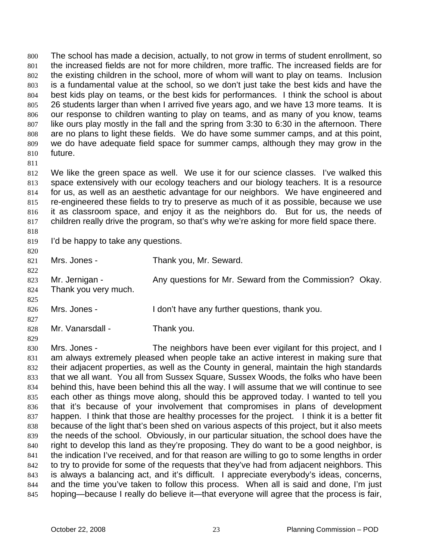The school has made a decision, actually, to not grow in terms of student enrollment, so the increased fields are not for more children, more traffic. The increased fields are for the existing children in the school, more of whom will want to play on teams. Inclusion is a fundamental value at the school, so we don't just take the best kids and have the best kids play on teams, or the best kids for performances. I think the school is about 26 students larger than when I arrived five years ago, and we have 13 more teams. It is our response to children wanting to play on teams, and as many of you know, teams like ours play mostly in the fall and the spring from 3:30 to 6:30 in the afternoon. There are no plans to light these fields. We do have some summer camps, and at this point, we do have adequate field space for summer camps, although they may grow in the future. 800 801 802 803 804 805 806 807 808 809 810

811

818

812 813 814 815 816 817 We like the green space as well. We use it for our science classes. I've walked this space extensively with our ecology teachers and our biology teachers. It is a resource for us, as well as an aesthetic advantage for our neighbors. We have engineered and re-engineered these fields to try to preserve as much of it as possible, because we use it as classroom space, and enjoy it as the neighbors do. But for us, the needs of children really drive the program, so that's why we're asking for more field space there.

819 I'd be happy to take any questions.

| 820 |                      |                                                         |
|-----|----------------------|---------------------------------------------------------|
| 821 | Mrs. Jones -         | Thank you, Mr. Seward.                                  |
| 822 |                      |                                                         |
| 823 | Mr. Jernigan -       | Any questions for Mr. Seward from the Commission? Okay. |
| 824 | Thank you very much. |                                                         |
| 825 |                      |                                                         |
| 826 | Mrs. Jones -         | I don't have any further questions, thank you.          |
| 827 |                      |                                                         |
| 828 | Mr. Vanarsdall -     | Thank you.                                              |
| 829 |                      |                                                         |

830 831 832 833 834 835 836 837 838 839 840 841 842 843 844 845 Mrs. Jones - The neighbors have been ever vigilant for this project, and I am always extremely pleased when people take an active interest in making sure that their adjacent properties, as well as the County in general, maintain the high standards that we all want. You all from Sussex Square, Sussex Woods, the folks who have been behind this, have been behind this all the way. I will assume that we will continue to see each other as things move along, should this be approved today. I wanted to tell you that it's because of your involvement that compromises in plans of development happen. I think that those are healthy processes for the project. I think it is a better fit because of the light that's been shed on various aspects of this project, but it also meets the needs of the school. Obviously, in our particular situation, the school does have the right to develop this land as they're proposing. They do want to be a good neighbor, is the indication I've received, and for that reason are willing to go to some lengths in order to try to provide for some of the requests that they've had from adjacent neighbors. This is always a balancing act, and it's difficult. I appreciate everybody's ideas, concerns, and the time you've taken to follow this process. When all is said and done, I'm just hoping—because I really do believe it—that everyone will agree that the process is fair,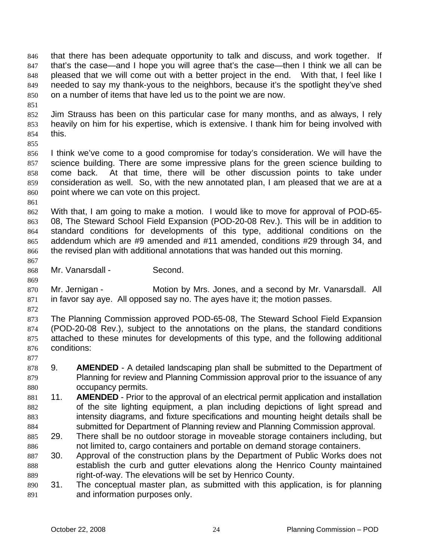that there has been adequate opportunity to talk and discuss, and work together. If that's the case—and I hope you will agree that's the case—then I think we all can be pleased that we will come out with a better project in the end. With that, I feel like I needed to say my thank-yous to the neighbors, because it's the spotlight they've shed on a number of items that have led us to the point we are now. 846 847 848 849 850

851

852 853 854 Jim Strauss has been on this particular case for many months, and as always, I rely heavily on him for his expertise, which is extensive. I thank him for being involved with this.

855

856 857 858 859 860 I think we've come to a good compromise for today's consideration. We will have the science building. There are some impressive plans for the green science building to come back. At that time, there will be other discussion points to take under consideration as well. So, with the new annotated plan, I am pleased that we are at a point where we can vote on this project.

861

862 863 864 865 866 With that, I am going to make a motion. I would like to move for approval of POD-65- 08, The Steward School Field Expansion (POD-20-08 Rev.). This will be in addition to standard conditions for developments of this type, additional conditions on the addendum which are #9 amended and #11 amended, conditions #29 through 34, and the revised plan with additional annotations that was handed out this morning.

868 Mr. Vanarsdall - Second.

869 870 871 Mr. Jernigan - **Motion by Mrs. Jones, and a second by Mr. Vanarsdall.** All in favor say aye. All opposed say no. The ayes have it; the motion passes.

872

877

867

873 874 875 876 The Planning Commission approved POD-65-08, The Steward School Field Expansion (POD-20-08 Rev.), subject to the annotations on the plans, the standard conditions attached to these minutes for developments of this type, and the following additional conditions:

- 878 879 880 9. **AMENDED** - A detailed landscaping plan shall be submitted to the Department of Planning for review and Planning Commission approval prior to the issuance of any occupancy permits.
- 881 882 883 884 11. **AMENDED** - Prior to the approval of an electrical permit application and installation of the site lighting equipment, a plan including depictions of light spread and intensity diagrams, and fixture specifications and mounting height details shall be submitted for Department of Planning review and Planning Commission approval.
- 885 886 29. There shall be no outdoor storage in moveable storage containers including, but not limited to, cargo containers and portable on demand storage containers.
- 887 888 889 30. Approval of the construction plans by the Department of Public Works does not establish the curb and gutter elevations along the Henrico County maintained right-of-way. The elevations will be set by Henrico County.
- 890 891 31. The conceptual master plan, as submitted with this application, is for planning and information purposes only.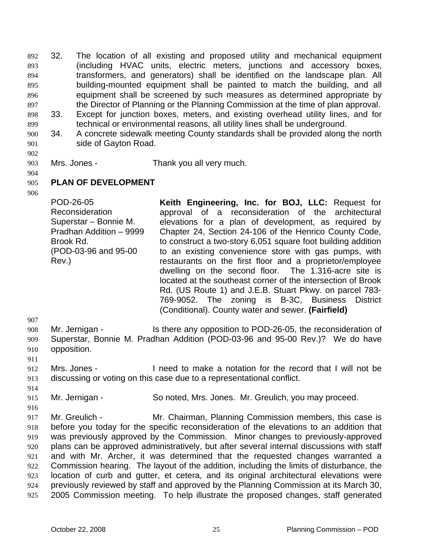32. The location of all existing and proposed utility and mechanical equipment (including HVAC units, electric meters, junctions and accessory boxes, transformers, and generators) shall be identified on the landscape plan. All building-mounted equipment shall be painted to match the building, and all equipment shall be screened by such measures as determined appropriate by the Director of Planning or the Planning Commission at the time of plan approval. 892 893 894 895 896 897 898 899 33. Except for junction boxes, meters, and existing overhead utility lines, and for technical or environmental reasons, all utility lines shall be underground.

- 900 901 34. A concrete sidewalk meeting County standards shall be provided along the north side of Gayton Road.
- 902
- 903

Mrs. Jones - Thank you all very much.

- 905 **PLAN OF DEVELOPMENT**
- 906

904

POD-26-05 Reconsideration Superstar – Bonnie M. Pradhan Addition – 9999 Brook Rd. (POD-03-96 and 95-00 Rev.) **Keith Engineering, Inc. for BOJ, LLC:** Request for approval of a reconsideration of the architectural elevations for a plan of development, as required by Chapter 24, Section 24-106 of the Henrico County Code, to construct a two-story 6,051 square foot building addition to an existing convenience store with gas pumps, with restaurants on the first floor and a proprietor/employee dwelling on the second floor. The 1.316-acre site is located at the southeast corner of the intersection of Brook Rd. (US Route 1) and J.E.B. Stuart Pkwy. on parcel 783- 769-9052. The zoning is B-3C, Business District (Conditional). County water and sewer. **(Fairfield)** 

907

908 909 910 Mr. Jernigan - Is there any opposition to POD-26-05, the reconsideration of Superstar, Bonnie M. Pradhan Addition (POD-03-96 and 95-00 Rev.)? We do have opposition.

- 911
- 912 913 Mrs. Jones - I need to make a notation for the record that I will not be discussing or voting on this case due to a representational conflict.
- 914 915

916

Mr. Jernigan - So noted, Mrs. Jones. Mr. Greulich, you may proceed.

917 918 919 920 921 922 923 924 925 Mr. Greulich - Mr. Chairman, Planning Commission members, this case is before you today for the specific reconsideration of the elevations to an addition that was previously approved by the Commission. Minor changes to previously-approved plans can be approved administratively, but after several internal discussions with staff and with Mr. Archer, it was determined that the requested changes warranted a Commission hearing. The layout of the addition, including the limits of disturbance, the location of curb and gutter, et cetera, and its original architectural elevations were previously reviewed by staff and approved by the Planning Commission at its March 30, 2005 Commission meeting. To help illustrate the proposed changes, staff generated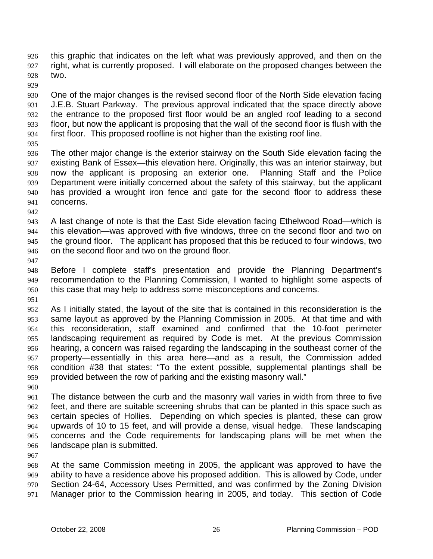this graphic that indicates on the left what was previously approved, and then on the right, what is currently proposed. I will elaborate on the proposed changes between the two. 926 927 928

929

930 931 932 933 934 One of the major changes is the revised second floor of the North Side elevation facing J.E.B. Stuart Parkway. The previous approval indicated that the space directly above the entrance to the proposed first floor would be an angled roof leading to a second floor, but now the applicant is proposing that the wall of the second floor is flush with the first floor. This proposed roofline is not higher than the existing roof line.

935

936 937 938 939 940 941 The other major change is the exterior stairway on the South Side elevation facing the existing Bank of Essex—this elevation here. Originally, this was an interior stairway, but now the applicant is proposing an exterior one. Planning Staff and the Police Department were initially concerned about the safety of this stairway, but the applicant has provided a wrought iron fence and gate for the second floor to address these concerns.

942

943 944 945 946 A last change of note is that the East Side elevation facing Ethelwood Road—which is this elevation—was approved with five windows, three on the second floor and two on the ground floor. The applicant has proposed that this be reduced to four windows, two on the second floor and two on the ground floor.

947

948 949 950 Before I complete staff's presentation and provide the Planning Department's recommendation to the Planning Commission, I wanted to highlight some aspects of this case that may help to address some misconceptions and concerns.

951

952 953 954 955 956 957 958 959 As I initially stated, the layout of the site that is contained in this reconsideration is the same layout as approved by the Planning Commission in 2005. At that time and with this reconsideration, staff examined and confirmed that the 10-foot perimeter landscaping requirement as required by Code is met. At the previous Commission hearing, a concern was raised regarding the landscaping in the southeast corner of the property—essentially in this area here—and as a result, the Commission added condition #38 that states: "To the extent possible, supplemental plantings shall be provided between the row of parking and the existing masonry wall."

960

961 962 963 964 965 966 The distance between the curb and the masonry wall varies in width from three to five feet, and there are suitable screening shrubs that can be planted in this space such as certain species of Hollies. Depending on which species is planted, these can grow upwards of 10 to 15 feet, and will provide a dense, visual hedge. These landscaping concerns and the Code requirements for landscaping plans will be met when the landscape plan is submitted.

967

968 969 970 971 At the same Commission meeting in 2005, the applicant was approved to have the ability to have a residence above his proposed addition. This is allowed by Code, under Section 24-64, Accessory Uses Permitted, and was confirmed by the Zoning Division Manager prior to the Commission hearing in 2005, and today. This section of Code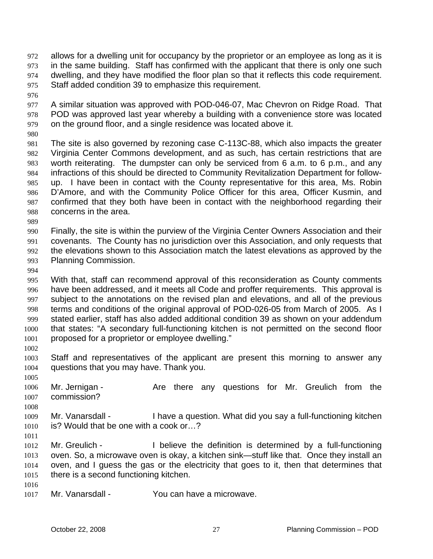- allows for a dwelling unit for occupancy by the proprietor or an employee as long as it is in the same building. Staff has confirmed with the applicant that there is only one such dwelling, and they have modified the floor plan so that it reflects this code requirement. Staff added condition 39 to emphasize this requirement. 972 973 974 975
- 976

977 978 979 A similar situation was approved with POD-046-07, Mac Chevron on Ridge Road. That POD was approved last year whereby a building with a convenience store was located on the ground floor, and a single residence was located above it.

980

981 982 983 984 985 986 987 988 The site is also governed by rezoning case C-113C-88, which also impacts the greater Virginia Center Commons development, and as such, has certain restrictions that are worth reiterating. The dumpster can only be serviced from 6 a.m. to 6 p.m., and any infractions of this should be directed to Community Revitalization Department for followup. I have been in contact with the County representative for this area, Ms. Robin D'Amore, and with the Community Police Officer for this area, Officer Kusmin, and confirmed that they both have been in contact with the neighborhood regarding their concerns in the area.

989

990 991 992 993 Finally, the site is within the purview of the Virginia Center Owners Association and their covenants. The County has no jurisdiction over this Association, and only requests that the elevations shown to this Association match the latest elevations as approved by the Planning Commission.

994

995 996 997 998 999 1000 1001 1002 With that, staff can recommend approval of this reconsideration as County comments have been addressed, and it meets all Code and proffer requirements. This approval is subject to the annotations on the revised plan and elevations, and all of the previous terms and conditions of the original approval of POD-026-05 from March of 2005. As I stated earlier, staff has also added additional condition 39 as shown on your addendum that states: "A secondary full-functioning kitchen is not permitted on the second floor proposed for a proprietor or employee dwelling."

- 1003 1004 Staff and representatives of the applicant are present this morning to answer any questions that you may have. Thank you.
- 1005 1006 1007 Mr. Jernigan - The Are there any questions for Mr. Greulich from the commission?
- 1008

1009 1010 Mr. Vanarsdall - I have a question. What did you say a full-functioning kitchen is? Would that be one with a cook or…?

1011

1012 1013 1014 1015 Mr. Greulich - I believe the definition is determined by a full-functioning oven. So, a microwave oven is okay, a kitchen sink—stuff like that. Once they install an oven, and I guess the gas or the electricity that goes to it, then that determines that there is a second functioning kitchen.

1016

1017 Mr. Vanarsdall - You can have a microwave.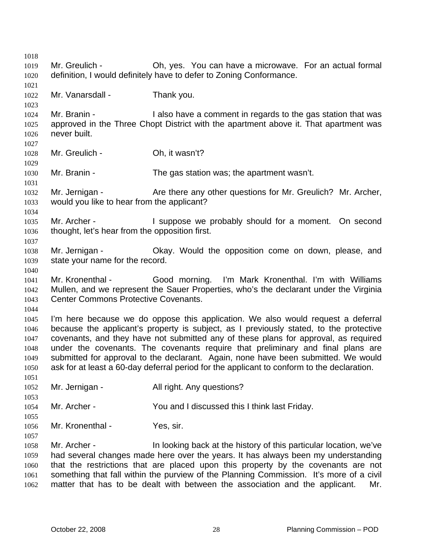1018 1019 1020 1021 1022 1023 1024 1025 1026 1027 1028 1029 1030 1031 1032 1033 1034 1035 1036 1037 1038 1039 1040 1041 1042 1043 1044 1045 1046 1047 1048 1049 1050 1051 1052 1053 1054 1055 1056 1057 1058 1059 1060 1061 1062 Mr. Greulich - Ch, yes. You can have a microwave. For an actual formal definition, I would definitely have to defer to Zoning Conformance. Mr. Vanarsdall - Thank you. Mr. Branin - I also have a comment in regards to the gas station that was approved in the Three Chopt District with the apartment above it. That apartment was never built. Mr. Greulich - Oh, it wasn't? Mr. Branin - The gas station was; the apartment wasn't. Mr. Jernigan - Are there any other questions for Mr. Greulich? Mr. Archer, would you like to hear from the applicant? Mr. Archer - The Suppose we probably should for a moment. On second thought, let's hear from the opposition first. Mr. Jernigan - Ckay. Would the opposition come on down, please, and state your name for the record. Mr. Kronenthal - Good morning. I'm Mark Kronenthal. I'm with Williams Mullen, and we represent the Sauer Properties, who's the declarant under the Virginia Center Commons Protective Covenants. I'm here because we do oppose this application. We also would request a deferral because the applicant's property is subject, as I previously stated, to the protective covenants, and they have not submitted any of these plans for approval, as required under the covenants. The covenants require that preliminary and final plans are submitted for approval to the declarant. Again, none have been submitted. We would ask for at least a 60-day deferral period for the applicant to conform to the declaration. Mr. Jernigan - The All right. Any questions? Mr. Archer - You and I discussed this I think last Friday. Mr. Kronenthal - Yes, sir. Mr. Archer - In looking back at the history of this particular location, we've had several changes made here over the years. It has always been my understanding that the restrictions that are placed upon this property by the covenants are not something that fall within the purview of the Planning Commission. It's more of a civil matter that has to be dealt with between the association and the applicant. Mr.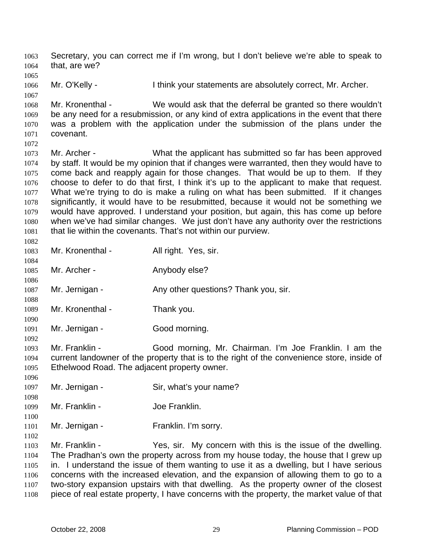Secretary, you can correct me if I'm wrong, but I don't believe we're able to speak to that, are we? 1063 1064

1066 Mr. O'Kelly - I think your statements are absolutely correct, Mr. Archer.

1068 1069 1070 1071 1072 Mr. Kronenthal - We would ask that the deferral be granted so there wouldn't be any need for a resubmission, or any kind of extra applications in the event that there was a problem with the application under the submission of the plans under the covenant.

1073 1074 1075 1076 1077 1078 1079 1080 1081 Mr. Archer - What the applicant has submitted so far has been approved by staff. It would be my opinion that if changes were warranted, then they would have to come back and reapply again for those changes. That would be up to them. If they choose to defer to do that first, I think it's up to the applicant to make that request. What we're trying to do is make a ruling on what has been submitted. If it changes significantly, it would have to be resubmitted, because it would not be something we would have approved. I understand your position, but again, this has come up before when we've had similar changes. We just don't have any authority over the restrictions that lie within the covenants. That's not within our purview.

- 1082 1083 1084 1085 1086 1087 1088 1089 1090 Mr. Kronenthal - All right. Yes, sir. Mr. Archer - Anybody else? Mr. Jernigan - Any other questions? Thank you, sir. Mr. Kronenthal - Thank you.
- 1091 1092 Mr. Jernigan - Good morning.

1065

1067

1096

1098

1100

1102

- 1093 1094 1095 Mr. Franklin - Good morning, Mr. Chairman. I'm Joe Franklin. I am the current landowner of the property that is to the right of the convenience store, inside of Ethelwood Road. The adjacent property owner.
- 1097 Mr. Jernigan - Sir, what's your name?
- 1099 Mr. Franklin - Joe Franklin.
- 1101 Mr. Jernigan - Franklin. I'm sorry.

1103 1104 1105 1106 1107 1108 Mr. Franklin - The Yes, sir. My concern with this is the issue of the dwelling. The Pradhan's own the property across from my house today, the house that I grew up in. I understand the issue of them wanting to use it as a dwelling, but I have serious concerns with the increased elevation, and the expansion of allowing them to go to a two-story expansion upstairs with that dwelling. As the property owner of the closest piece of real estate property, I have concerns with the property, the market value of that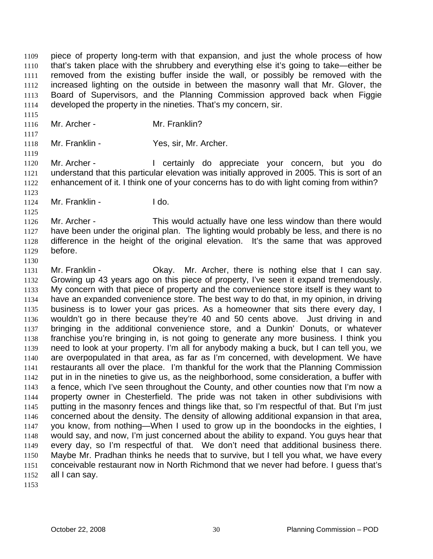piece of property long-term with that expansion, and just the whole process of how that's taken place with the shrubbery and everything else it's going to take—either be removed from the existing buffer inside the wall, or possibly be removed with the increased lighting on the outside in between the masonry wall that Mr. Glover, the Board of Supervisors, and the Planning Commission approved back when Figgie developed the property in the nineties. That's my concern, sir. 1109 1110 1111 1112 1113 1114

1115 1116 1117

Mr. Archer - Mr. Franklin?

1118 Mr. Franklin - Yes, sir, Mr. Archer.

1119 1120 1121 1122 1123 Mr. Archer - The Certainly do appreciate your concern, but you do understand that this particular elevation was initially approved in 2005. This is sort of an enhancement of it. I think one of your concerns has to do with light coming from within?

- 1124 Mr. Franklin - I do.
- 1125
- 1126 1127 1128 1129 Mr. Archer - This would actually have one less window than there would have been under the original plan. The lighting would probably be less, and there is no difference in the height of the original elevation. It's the same that was approved before.
- 1130

1131 1132 1133 1134 1135 1136 1137 1138 1139 1140 1141 1142 1143 1144 1145 1146 1147 1148 1149 1150 1151 1152 Mr. Franklin - Okay. Mr. Archer, there is nothing else that I can say. Growing up 43 years ago on this piece of property, I've seen it expand tremendously. My concern with that piece of property and the convenience store itself is they want to have an expanded convenience store. The best way to do that, in my opinion, in driving business is to lower your gas prices. As a homeowner that sits there every day, I wouldn't go in there because they're 40 and 50 cents above. Just driving in and bringing in the additional convenience store, and a Dunkin' Donuts, or whatever franchise you're bringing in, is not going to generate any more business. I think you need to look at your property. I'm all for anybody making a buck, but I can tell you, we are overpopulated in that area, as far as I'm concerned, with development. We have restaurants all over the place. I'm thankful for the work that the Planning Commission put in in the nineties to give us, as the neighborhood, some consideration, a buffer with a fence, which I've seen throughout the County, and other counties now that I'm now a property owner in Chesterfield. The pride was not taken in other subdivisions with putting in the masonry fences and things like that, so I'm respectful of that. But I'm just concerned about the density. The density of allowing additional expansion in that area, you know, from nothing—When I used to grow up in the boondocks in the eighties, I would say, and now, I'm just concerned about the ability to expand. You guys hear that every day, so I'm respectful of that. We don't need that additional business there. Maybe Mr. Pradhan thinks he needs that to survive, but I tell you what, we have every conceivable restaurant now in North Richmond that we never had before. I guess that's all I can say.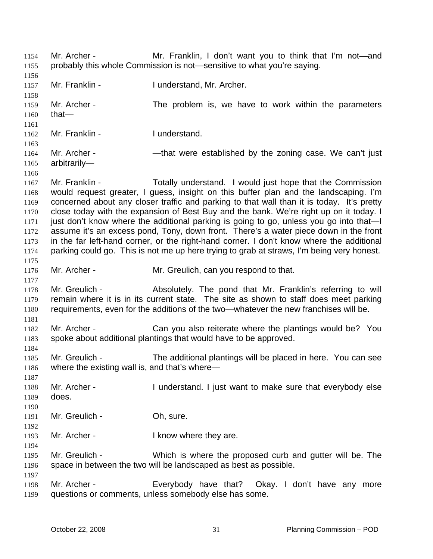Mr. Archer - **Mr. Franklin, I don't want you to think that I'm not—and** probably this whole Commission is not—sensitive to what you're saying. 1154 1155 1156 1157 1158 1159 1160 1161 1162 1163 1164 1165 1166 1167 1168 1169 1170 1171 1172 1173 1174 1175 1176 1177 1178 1179 1180 1181 1182 1183 1184 1185 1186 1187 1188 1189 1190 1191 1192 1193 1194 1195 1196 1197 1198 1199 Mr. Franklin - I understand, Mr. Archer. Mr. Archer - The problem is, we have to work within the parameters that— Mr. Franklin - I understand. Mr. Archer - — — — that were established by the zoning case. We can't just arbitrarily— Mr. Franklin - Totally understand. I would just hope that the Commission would request greater, I guess, insight on this buffer plan and the landscaping. I'm concerned about any closer traffic and parking to that wall than it is today. It's pretty close today with the expansion of Best Buy and the bank. We're right up on it today. I just don't know where the additional parking is going to go, unless you go into that—I assume it's an excess pond, Tony, down front. There's a water piece down in the front in the far left-hand corner, or the right-hand corner. I don't know where the additional parking could go. This is not me up here trying to grab at straws, I'm being very honest. Mr. Archer - Mr. Greulich, can you respond to that. Mr. Greulich - Absolutely. The pond that Mr. Franklin's referring to will remain where it is in its current state. The site as shown to staff does meet parking requirements, even for the additions of the two—whatever the new franchises will be. Mr. Archer - Can you also reiterate where the plantings would be? You spoke about additional plantings that would have to be approved. Mr. Greulich - The additional plantings will be placed in here. You can see where the existing wall is, and that's where— Mr. Archer - I understand. I just want to make sure that everybody else does. Mr. Greulich - Oh, sure. Mr. Archer - The Uknow where they are. Mr. Greulich - Which is where the proposed curb and gutter will be. The space in between the two will be landscaped as best as possible. Mr. Archer - Everybody have that? Okay. I don't have any more questions or comments, unless somebody else has some.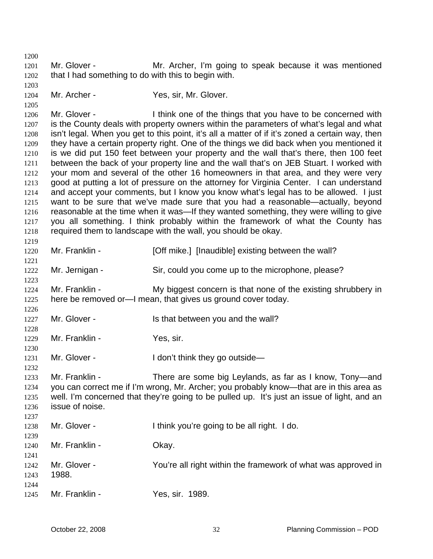1200 1201 1202 1203 1204 1205 1206 1207 1208 1209 1210 1211 1212 1213 1214 1215 1216 1217 1218 1219 1220 1221 1222 1223 1224 1225 1226 1227 1228 1229 1230 1231 1232 1233 1234 1235 1236 1237 1238 1239 1240 1241 1242 1243 1244 1245 Mr. Glover - **Mr. Archer, I'm going to speak because it was mentioned** that I had something to do with this to begin with. Mr. Archer - Yes, sir, Mr. Glover. Mr. Glover - Think one of the things that you have to be concerned with is the County deals with property owners within the parameters of what's legal and what isn't legal. When you get to this point, it's all a matter of if it's zoned a certain way, then they have a certain property right. One of the things we did back when you mentioned it is we did put 150 feet between your property and the wall that's there, then 100 feet between the back of your property line and the wall that's on JEB Stuart. I worked with your mom and several of the other 16 homeowners in that area, and they were very good at putting a lot of pressure on the attorney for Virginia Center. I can understand and accept your comments, but I know you know what's legal has to be allowed. I just want to be sure that we've made sure that you had a reasonable—actually, beyond reasonable at the time when it was—If they wanted something, they were willing to give you all something. I think probably within the framework of what the County has required them to landscape with the wall, you should be okay. Mr. Franklin - [Off mike.] [Inaudible] existing between the wall? Mr. Jernigan - Sir, could you come up to the microphone, please? Mr. Franklin - My biggest concern is that none of the existing shrubbery in here be removed or—I mean, that gives us ground cover today. Mr. Glover - Is that between you and the wall? Mr. Franklin - Yes, sir. Mr. Glover - The Muslim Letter in the Unit think they go outside— Mr. Franklin - There are some big Leylands, as far as I know, Tony-and you can correct me if I'm wrong, Mr. Archer; you probably know—that are in this area as well. I'm concerned that they're going to be pulled up. It's just an issue of light, and an issue of noise. Mr. Glover - Think you're going to be all right. I do. Mr. Franklin - Okay. Mr. Glover - The You're all right within the framework of what was approved in 1988. Mr. Franklin - Yes. sir. 1989.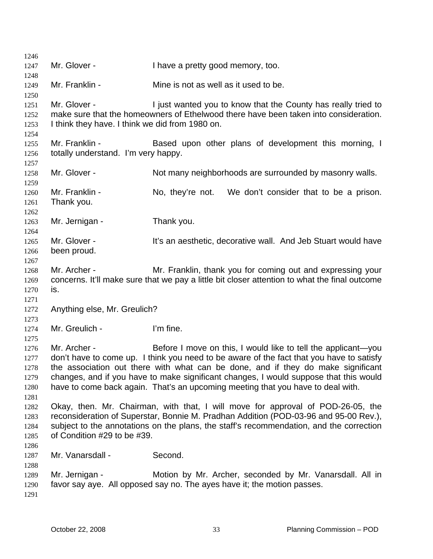1246 1247 1248 1249 1250 1251 1252 1253 1254 1255 1256 1257 1258 1259 1260 1261 1262 1263 1264 1265 1266 1267 1268 1269 1270 1271 1272 1273 1274 1275 1276 1277 1278 1279 1280 1281 1282 1283 1284 1285 1286 1287 1288 1289 1290 1291 Mr. Glover - Thave a pretty good memory, too. Mr. Franklin - The Mine is not as well as it used to be. Mr. Glover - I just wanted you to know that the County has really tried to make sure that the homeowners of Ethelwood there have been taken into consideration. I think they have. I think we did from 1980 on. Mr. Franklin - Based upon other plans of development this morning, I totally understand. I'm very happy. Mr. Glover - Not many neighborhoods are surrounded by masonry walls. Mr. Franklin - No, they're not. We don't consider that to be a prison. Thank you. Mr. Jernigan - Thank you. Mr. Glover - It's an aesthetic, decorative wall. And Jeb Stuart would have been proud. Mr. Archer - Mr. Franklin, thank you for coming out and expressing your concerns. It'll make sure that we pay a little bit closer attention to what the final outcome is. Anything else, Mr. Greulich? Mr. Greulich - I'm fine. Mr. Archer - Before I move on this, I would like to tell the applicant—you don't have to come up. I think you need to be aware of the fact that you have to satisfy the association out there with what can be done, and if they do make significant changes, and if you have to make significant changes, I would suppose that this would have to come back again. That's an upcoming meeting that you have to deal with. Okay, then. Mr. Chairman, with that, I will move for approval of POD-26-05, the reconsideration of Superstar, Bonnie M. Pradhan Addition (POD-03-96 and 95-00 Rev.), subject to the annotations on the plans, the staff's recommendation, and the correction of Condition #29 to be #39. Mr. Vanarsdall - Second. Mr. Jernigan - Motion by Mr. Archer, seconded by Mr. Vanarsdall. All in favor say aye. All opposed say no. The ayes have it; the motion passes.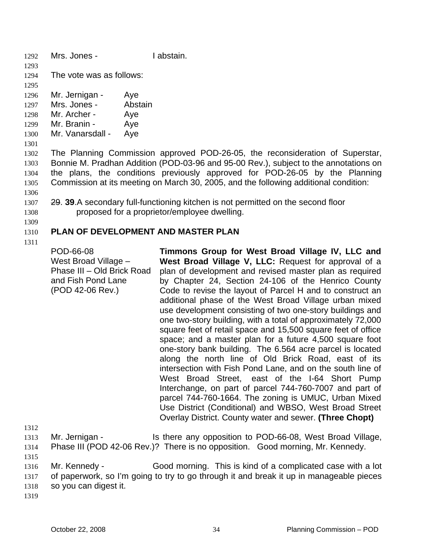- 1292 Mrs. Jones I abstain.
- 1293
- 1294 The vote was as follows:
- 1295 1296 Mr. Jernigan - Aye
- 1297 Mrs. Jones - Abstain
- 1298 Mr. Archer - Aye
- 1299 Mr. Branin - Aye
- 1300 Mr. Vanarsdall - Aye
- 1301

1302 1303 1304 1305 1306 The Planning Commission approved POD-26-05, the reconsideration of Superstar, Bonnie M. Pradhan Addition (POD-03-96 and 95-00 Rev.), subject to the annotations on the plans, the conditions previously approved for POD-26-05 by the Planning Commission at its meeting on March 30, 2005, and the following additional condition:

- 29. **39**.A secondary full-functioning kitchen is not permitted on the second floor proposed for a proprietor/employee dwelling. 1307 1308
- 1309

### 1310 **PLAN OF DEVELOPMENT AND MASTER PLAN**

1311

POD-66-08 West Broad Village – Phase III – Old Brick Road and Fish Pond Lane (POD 42-06 Rev.) **Timmons Group for West Broad Village IV, LLC and West Broad Village V, LLC:** Request for approval of a plan of development and revised master plan as required by Chapter 24, Section 24-106 of the Henrico County Code to revise the layout of Parcel H and to construct an additional phase of the West Broad Village urban mixed use development consisting of two one-story buildings and one two-story building, with a total of approximately 72,000 square feet of retail space and 15,500 square feet of office space; and a master plan for a future 4,500 square foot one-story bank building. The 6.564 acre parcel is located along the north line of Old Brick Road, east of its intersection with Fish Pond Lane, and on the south line of West Broad Street, east of the I-64 Short Pump Interchange, on part of parcel 744-760-7007 and part of parcel 744-760-1664. The zoning is UMUC, Urban Mixed Use District (Conditional) and WBSO, West Broad Street

1312

1313 1314 Mr. Jernigan - The Is there any opposition to POD-66-08, West Broad Village, Phase III (POD 42-06 Rev.)? There is no opposition. Good morning, Mr. Kennedy.

Overlay District. County water and sewer. **(Three Chopt)** 

1315

1316 1317 1318 Mr. Kennedy - Good morning. This is kind of a complicated case with a lot of paperwork, so I'm going to try to go through it and break it up in manageable pieces so you can digest it.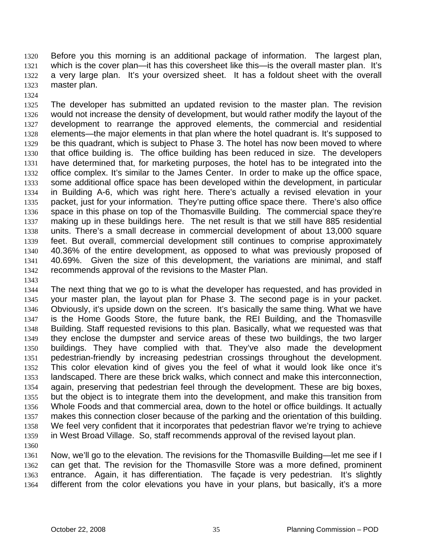Before you this morning is an additional package of information. The largest plan, which is the cover plan—it has this coversheet like this—is the overall master plan. It's a very large plan. It's your oversized sheet. It has a foldout sheet with the overall master plan. 1320 1321 1322 1323

1324

1325 1326 1327 1328 1329 1330 1331 1332 1333 1334 1335 1336 1337 1338 1339 1340 1341 1342 The developer has submitted an updated revision to the master plan. The revision would not increase the density of development, but would rather modify the layout of the development to rearrange the approved elements, the commercial and residential elements—the major elements in that plan where the hotel quadrant is. It's supposed to be this quadrant, which is subject to Phase 3. The hotel has now been moved to where that office building is. The office building has been reduced in size. The developers have determined that, for marketing purposes, the hotel has to be integrated into the office complex. It's similar to the James Center. In order to make up the office space, some additional office space has been developed within the development, in particular in Building A-6, which was right here. There's actually a revised elevation in your packet, just for your information. They're putting office space there. There's also office space in this phase on top of the Thomasville Building. The commercial space they're making up in these buildings here. The net result is that we still have 885 residential units. There's a small decrease in commercial development of about 13,000 square feet. But overall, commercial development still continues to comprise approximately 40.36% of the entire development, as opposed to what was previously proposed of 40.69%. Given the size of this development, the variations are minimal, and staff recommends approval of the revisions to the Master Plan.

1343

1344 1345 1346 1347 1348 1349 1350 1351 1352 1353 1354 1355 1356 1357 1358 1359 The next thing that we go to is what the developer has requested, and has provided in your master plan, the layout plan for Phase 3. The second page is in your packet. Obviously, it's upside down on the screen. It's basically the same thing. What we have is the Home Goods Store, the future bank, the REI Building, and the Thomasville Building. Staff requested revisions to this plan. Basically, what we requested was that they enclose the dumpster and service areas of these two buildings, the two larger buildings. They have complied with that. They've also made the development pedestrian-friendly by increasing pedestrian crossings throughout the development. This color elevation kind of gives you the feel of what it would look like once it's landscaped. There are these brick walks, which connect and make this interconnection, again, preserving that pedestrian feel through the development. These are big boxes, but the object is to integrate them into the development, and make this transition from Whole Foods and that commercial area, down to the hotel or office buildings. It actually makes this connection closer because of the parking and the orientation of this building. We feel very confident that it incorporates that pedestrian flavor we're trying to achieve in West Broad Village. So, staff recommends approval of the revised layout plan.

1360 1361 1362 1363 1364 Now, we'll go to the elevation. The revisions for the Thomasville Building—let me see if I can get that. The revision for the Thomasville Store was a more defined, prominent entrance. Again, it has differentiation. The façade is very pedestrian. It's slightly different from the color elevations you have in your plans, but basically, it's a more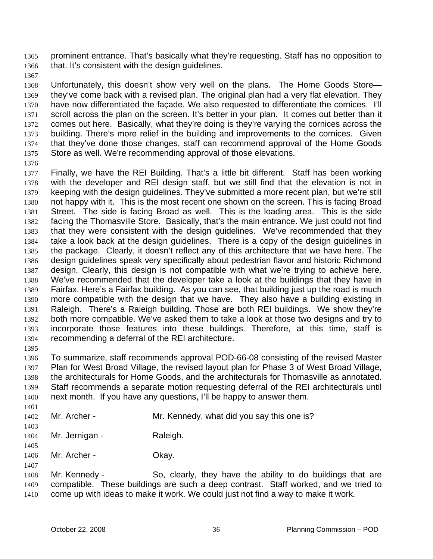prominent entrance. That's basically what they're requesting. Staff has no opposition to that. It's consistent with the design guidelines. 1365 1366

1367

1368 1369 1370 1371 1372 1373 1374 1375 Unfortunately, this doesn't show very well on the plans. The Home Goods Store they've come back with a revised plan. The original plan had a very flat elevation. They have now differentiated the façade. We also requested to differentiate the cornices. I'll scroll across the plan on the screen. It's better in your plan. It comes out better than it comes out here. Basically, what they're doing is they're varying the cornices across the building. There's more relief in the building and improvements to the cornices. Given that they've done those changes, staff can recommend approval of the Home Goods Store as well. We're recommending approval of those elevations.

1376

1405

1407

1377 1378 1379 1380 1381 1382 1383 1384 1385 1386 1387 1388 1389 1390 1391 1392 1393 1394 1395 Finally, we have the REI Building. That's a little bit different. Staff has been working with the developer and REI design staff, but we still find that the elevation is not in keeping with the design guidelines. They've submitted a more recent plan, but we're still not happy with it. This is the most recent one shown on the screen. This is facing Broad Street. The side is facing Broad as well. This is the loading area. This is the side facing the Thomasville Store. Basically, that's the main entrance. We just could not find that they were consistent with the design guidelines. We've recommended that they take a look back at the design guidelines. There is a copy of the design guidelines in the package. Clearly, it doesn't reflect any of this architecture that we have here. The design guidelines speak very specifically about pedestrian flavor and historic Richmond design. Clearly, this design is not compatible with what we're trying to achieve here. We've recommended that the developer take a look at the buildings that they have in Fairfax. Here's a Fairfax building. As you can see, that building just up the road is much more compatible with the design that we have. They also have a building existing in Raleigh. There's a Raleigh building. Those are both REI buildings. We show they're both more compatible. We've asked them to take a look at those two designs and try to incorporate those features into these buildings. Therefore, at this time, staff is recommending a deferral of the REI architecture.

1396 1397 1398 1399 1400 1401 To summarize, staff recommends approval POD-66-08 consisting of the revised Master Plan for West Broad Village, the revised layout plan for Phase 3 of West Broad Village, the architecturals for Home Goods, and the architecturals for Thomasville as annotated. Staff recommends a separate motion requesting deferral of the REI architecturals until next month. If you have any questions, I'll be happy to answer them.

- 1402 1403 Mr. Archer - Mr. Kennedy, what did you say this one is?
- 1404 Mr. Jernigan - Raleigh.
- 1406 Mr. Archer - Okay.

1408 1409 1410 Mr. Kennedy - So, clearly, they have the ability to do buildings that are compatible. These buildings are such a deep contrast. Staff worked, and we tried to come up with ideas to make it work. We could just not find a way to make it work.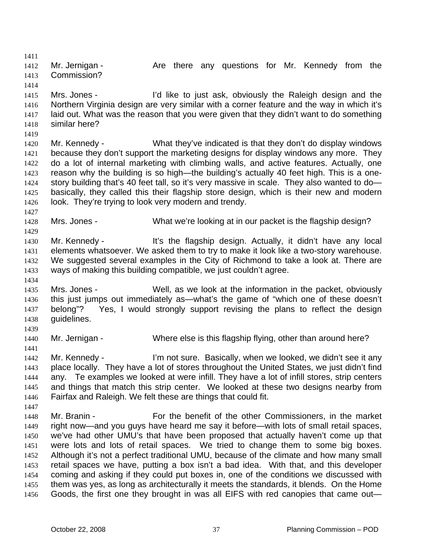1411 1412 1413 Mr. Jernigan - The Are there any questions for Mr. Kennedy from the Commission?

1414 1415 1416 1417 1418 Mrs. Jones - I'd like to just ask, obviously the Raleigh design and the Northern Virginia design are very similar with a corner feature and the way in which it's laid out. What was the reason that you were given that they didn't want to do something similar here?

- 1420 1421 1422 1423 1424 1425 1426 Mr. Kennedy - What they've indicated is that they don't do display windows because they don't support the marketing designs for display windows any more. They do a lot of internal marketing with climbing walls, and active features. Actually, one reason why the building is so high—the building's actually 40 feet high. This is a onestory building that's 40 feet tall, so it's very massive in scale. They also wanted to dobasically, they called this their flagship store design, which is their new and modern look. They're trying to look very modern and trendy.
- 1428 Mrs. Jones - What we're looking at in our packet is the flagship design?
- 1430 1431 1432 1433 Mr. Kennedy - It's the flagship design. Actually, it didn't have any local elements whatsoever. We asked them to try to make it look like a two-story warehouse. We suggested several examples in the City of Richmond to take a look at. There are ways of making this building compatible, we just couldn't agree.
- 1435 1436 1437 1438 Mrs. Jones - Well, as we look at the information in the packet, obviously this just jumps out immediately as—what's the game of "which one of these doesn't belong"? Yes, I would strongly support revising the plans to reflect the design guidelines.
- 1440 Mr. Jernigan - Where else is this flagship flying, other than around here?
- 1442 1443 1444 1445 1446 Mr. Kennedy - I'm not sure. Basically, when we looked, we didn't see it any place locally. They have a lot of stores throughout the United States, we just didn't find any. Te examples we looked at were infill. They have a lot of infill stores, strip centers and things that match this strip center. We looked at these two designs nearby from Fairfax and Raleigh. We felt these are things that could fit.
- 1448 1449 1450 1451 1452 1453 1454 1455 1456 Mr. Branin - For the benefit of the other Commissioners, in the market right now—and you guys have heard me say it before—with lots of small retail spaces, we've had other UMU's that have been proposed that actually haven't come up that were lots and lots of retail spaces. We tried to change them to some big boxes. Although it's not a perfect traditional UMU, because of the climate and how many small retail spaces we have, putting a box isn't a bad idea. With that, and this developer coming and asking if they could put boxes in, one of the conditions we discussed with them was yes, as long as architecturally it meets the standards, it blends. On the Home Goods, the first one they brought in was all EIFS with red canopies that came out—

1419

1427

1429

1434

1439

1441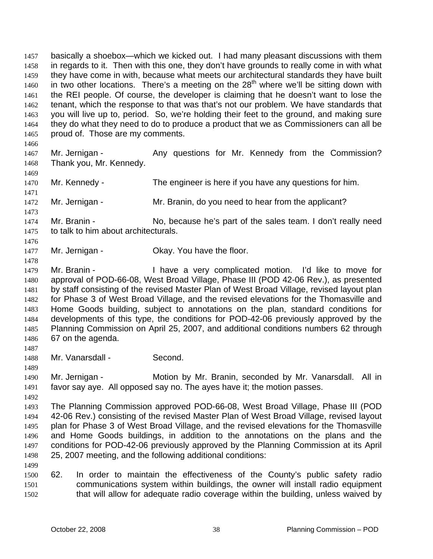basically a shoebox—which we kicked out. I had many pleasant discussions with them in regards to it. Then with this one, they don't have grounds to really come in with what they have come in with, because what meets our architectural standards they have built in two other locations. There's a meeting on the  $28<sup>th</sup>$  where we'll be sitting down with the REI people. Of course, the developer is claiming that he doesn't want to lose the tenant, which the response to that was that's not our problem. We have standards that you will live up to, period. So, we're holding their feet to the ground, and making sure they do what they need to do to produce a product that we as Commissioners can all be proud of. Those are my comments. 1457 1458 1459 1460 1461 1462 1463 1464 1465

1466

1469

1471

1473

1476

1478

### 1467 1468 Mr. Jernigan - The Any questions for Mr. Kennedy from the Commission? Thank you, Mr. Kennedy.

1470 Mr. Kennedy - The engineer is here if you have any questions for him.

1472 Mr. Jernigan - Mr. Branin, do you need to hear from the applicant?

1474 1475 Mr. Branin - No, because he's part of the sales team. I don't really need to talk to him about architecturals.

1477 Mr. Jernigan - Ckay. You have the floor.

1479 1480 1481 1482 1483 1484 1485 1486 Mr. Branin - Thave a very complicated motion. I'd like to move for approval of POD-66-08, West Broad Village, Phase III (POD 42-06 Rev.), as presented by staff consisting of the revised Master Plan of West Broad Village, revised layout plan for Phase 3 of West Broad Village, and the revised elevations for the Thomasville and Home Goods building, subject to annotations on the plan, standard conditions for developments of this type, the conditions for POD-42-06 previously approved by the Planning Commission on April 25, 2007, and additional conditions numbers 62 through 67 on the agenda.

1488 Mr. Vanarsdall - Second.

1489

1487

1490 1491 Mr. Jernigan - **Motion by Mr. Branin, seconded by Mr. Vanarsdall.** All in favor say aye. All opposed say no. The ayes have it; the motion passes.

1492

1499

1493 1494 1495 1496 1497 1498 The Planning Commission approved POD-66-08, West Broad Village, Phase III (POD 42-06 Rev.) consisting of the revised Master Plan of West Broad Village, revised layout plan for Phase 3 of West Broad Village, and the revised elevations for the Thomasville and Home Goods buildings, in addition to the annotations on the plans and the conditions for POD-42-06 previously approved by the Planning Commission at its April 25, 2007 meeting, and the following additional conditions:

1500 1501 1502 62. In order to maintain the effectiveness of the County's public safety radio communications system within buildings, the owner will install radio equipment that will allow for adequate radio coverage within the building, unless waived by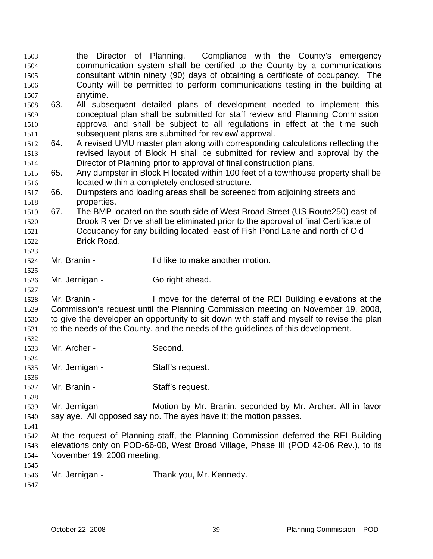| 1503<br>1504<br>1505 |              |                            | the Director of Planning. Compliance with the County's emergency<br>communication system shall be certified to the County by a communications<br>consultant within ninety (90) days of obtaining a certificate of occupancy. The |
|----------------------|--------------|----------------------------|----------------------------------------------------------------------------------------------------------------------------------------------------------------------------------------------------------------------------------|
| 1506                 |              |                            | County will be permitted to perform communications testing in the building at                                                                                                                                                    |
| 1507                 |              | anytime.                   |                                                                                                                                                                                                                                  |
| 1508                 | 63.          |                            | All subsequent detailed plans of development needed to implement this                                                                                                                                                            |
| 1509                 |              |                            | conceptual plan shall be submitted for staff review and Planning Commission                                                                                                                                                      |
| 1510                 |              |                            | approval and shall be subject to all regulations in effect at the time such                                                                                                                                                      |
| 1511                 |              |                            | subsequent plans are submitted for review/ approval.                                                                                                                                                                             |
| 1512                 | 64.          |                            | A revised UMU master plan along with corresponding calculations reflecting the                                                                                                                                                   |
| 1513                 |              |                            | revised layout of Block H shall be submitted for review and approval by the                                                                                                                                                      |
| 1514                 |              |                            | Director of Planning prior to approval of final construction plans.                                                                                                                                                              |
| 1515                 | 65.          |                            | Any dumpster in Block H located within 100 feet of a townhouse property shall be                                                                                                                                                 |
| 1516                 |              |                            | located within a completely enclosed structure.                                                                                                                                                                                  |
| 1517                 | 66.          |                            | Dumpsters and loading areas shall be screened from adjoining streets and                                                                                                                                                         |
| 1518                 |              | properties.                |                                                                                                                                                                                                                                  |
| 1519                 | 67.          |                            | The BMP located on the south side of West Broad Street (US Route250) east of                                                                                                                                                     |
| 1520                 |              |                            | Brook River Drive shall be eliminated prior to the approval of final Certificate of                                                                                                                                              |
| 1521                 |              |                            | Occupancy for any building located east of Fish Pond Lane and north of Old                                                                                                                                                       |
| 1522                 |              | <b>Brick Road.</b>         |                                                                                                                                                                                                                                  |
| 1523                 |              |                            |                                                                                                                                                                                                                                  |
| 1524                 | Mr. Branin - |                            | I'd like to make another motion.                                                                                                                                                                                                 |
| 1525                 |              |                            |                                                                                                                                                                                                                                  |
| 1526                 |              | Mr. Jernigan -             | Go right ahead.                                                                                                                                                                                                                  |
|                      |              |                            |                                                                                                                                                                                                                                  |
| 1527                 |              |                            |                                                                                                                                                                                                                                  |
| 1528                 | Mr. Branin - |                            | I move for the deferral of the REI Building elevations at the                                                                                                                                                                    |
| 1529                 |              |                            | Commission's request until the Planning Commission meeting on November 19, 2008,                                                                                                                                                 |
| 1530                 |              |                            | to give the developer an opportunity to sit down with staff and myself to revise the plan                                                                                                                                        |
| 1531                 |              |                            | to the needs of the County, and the needs of the guidelines of this development.                                                                                                                                                 |
| 1532                 |              |                            |                                                                                                                                                                                                                                  |
| 1533                 | Mr. Archer - |                            | Second.                                                                                                                                                                                                                          |
| 1534                 |              |                            |                                                                                                                                                                                                                                  |
| 1535                 |              | Mr. Jernigan -             | Staff's request.                                                                                                                                                                                                                 |
| 1536                 |              |                            |                                                                                                                                                                                                                                  |
| 1537                 | Mr. Branin - |                            | Staff's request.                                                                                                                                                                                                                 |
| 1538                 |              |                            |                                                                                                                                                                                                                                  |
| 1539                 |              | Mr. Jernigan -             | Motion by Mr. Branin, seconded by Mr. Archer. All in favor                                                                                                                                                                       |
| 1540                 |              |                            | say aye. All opposed say no. The ayes have it; the motion passes.                                                                                                                                                                |
| 1541                 |              |                            |                                                                                                                                                                                                                                  |
| 1542                 |              |                            | At the request of Planning staff, the Planning Commission deferred the REI Building                                                                                                                                              |
| 1543                 |              |                            | elevations only on POD-66-08, West Broad Village, Phase III (POD 42-06 Rev.), to its                                                                                                                                             |
| 1544                 |              | November 19, 2008 meeting. |                                                                                                                                                                                                                                  |
| 1545                 |              |                            |                                                                                                                                                                                                                                  |
| 1546                 |              | Mr. Jernigan -             | Thank you, Mr. Kennedy.                                                                                                                                                                                                          |
| 1547                 |              |                            |                                                                                                                                                                                                                                  |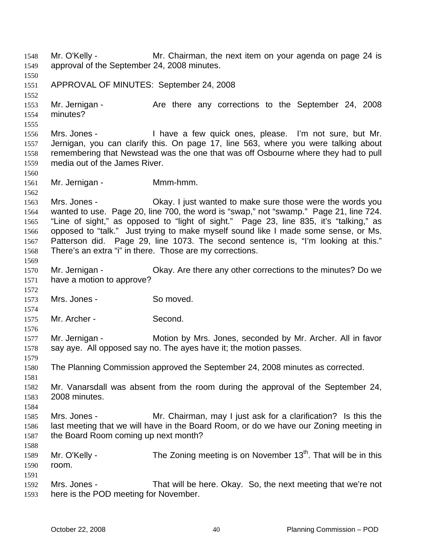Mr. O'Kelly - Mr. Chairman, the next item on your agenda on page 24 is approval of the September 24, 2008 minutes. 1548 1549 1550 1551 1552 1553 1554 1555 1556 1557 1558 1559 1560 1561 1562 1563 1564 1565 1566 1567 1568 1569 1570 1571 1572 1573 1574 1575 1576 1577 1578 1579 1580 1581 1582 1583 1584 1585 1586 1587 1588 1589 1590 1591 1592 1593 APPROVAL OF MINUTES: September 24, 2008 Mr. Jernigan - The Are there any corrections to the September 24, 2008 minutes? Mrs. Jones - I have a few quick ones, please. I'm not sure, but Mr. Jernigan, you can clarify this. On page 17, line 563, where you were talking about remembering that Newstead was the one that was off Osbourne where they had to pull media out of the James River. Mr. Jernigan - **Mmm-hmm.** Mrs. Jones - Ckay. I just wanted to make sure those were the words you wanted to use. Page 20, line 700, the word is "swap," not "swamp." Page 21, line 724. "Line of sight," as opposed to "light of sight." Page 23, line 835, it's "talking," as opposed to "talk." Just trying to make myself sound like I made some sense, or Ms. Patterson did. Page 29, line 1073. The second sentence is, "I'm looking at this." There's an extra "i" in there. Those are my corrections. Mr. Jernigan - Ckay. Are there any other corrections to the minutes? Do we have a motion to approve? Mrs. Jones - So moved. Mr. Archer - Second. Mr. Jernigan - Motion by Mrs. Jones, seconded by Mr. Archer. All in favor say aye. All opposed say no. The ayes have it; the motion passes. The Planning Commission approved the September 24, 2008 minutes as corrected. Mr. Vanarsdall was absent from the room during the approval of the September 24, 2008 minutes. Mrs. Jones - Mr. Chairman, may I just ask for a clarification? Is this the last meeting that we will have in the Board Room, or do we have our Zoning meeting in the Board Room coming up next month? Mr. O'Kelly - The Zoning meeting is on November  $13<sup>th</sup>$ . That will be in this room. Mrs. Jones - That will be here. Okay. So, the next meeting that we're not here is the POD meeting for November.